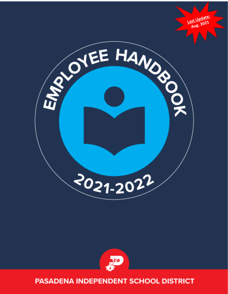



# **PASADENA INDEPENDENT SCHOOL DISTRICT**

Last Update: Aug. 2021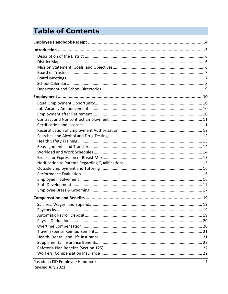# **Table of Contents**

| 19 |
|----|
|    |
|    |
|    |
|    |
|    |
|    |
|    |
|    |
|    |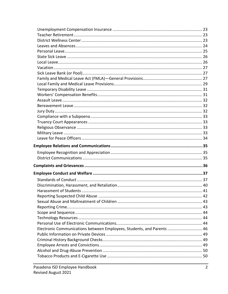| Electronic Communications between Employees, Students, and Parents  46 |  |
|------------------------------------------------------------------------|--|
|                                                                        |  |
|                                                                        |  |
|                                                                        |  |
|                                                                        |  |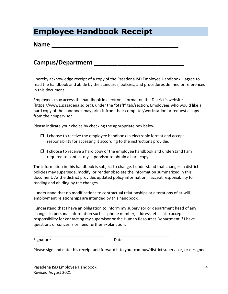# **Employee Handbook Receipt**

#### **Name**  $\blacksquare$

### **Campus/Department**

I hereby acknowledge receipt of a copy of the Pasadena ISD Employee Handbook. I agree to read the handbook and abide by the standards, policies, and procedures defined or referenced in this document.

Employees may access the handbook in electronic format on the District's website (https://www1.pasadenaisd.org), under the "Staff" tab/section. Employees who would like a hard copy of the handbook may print it from their computer/workstation or request a copy from their supervisor.

Please indicate your choice by checking the appropriate box below:

- $\Box$  I choose to receive the employee handbook in electronic format and accept responsibility for accessing it according to the instructions provided.
- $\Box$  I choose to receive a hard copy of the employee handbook and understand I am required to contact my supervisor to obtain a hard copy.

The information in this handbook is subject to change. I understand that changes in district policies may supersede, modify, or render obsolete the information summarized in this document. As the district provides updated policy information, I accept responsibility for reading and abiding by the changes.

I understand that no modifications to contractual relationships or alterations of at-will employment relationships are intended by this handbook.

I understand that I have an obligation to inform my supervisor or department head of any changes in personal information such as phone number, address, etc. I also accept responsibility for contacting my supervisor or the Human Resources Department if I have questions or concerns or need further explanation.

\_\_\_\_\_\_\_\_\_\_\_\_\_\_\_\_\_\_\_\_\_\_\_\_\_\_\_\_\_\_\_\_ \_\_\_\_\_\_\_\_\_\_\_\_\_\_\_\_\_\_\_\_\_\_\_\_\_

Signature **Date** 

Please sign and date this receipt and forward it to your campus/district supervisor, or designee.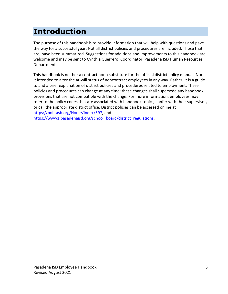# **Introduction**

The purpose of this handbook is to provide information that will help with questions and pave the way for a successful year. Not all district policies and procedures are included. Those that are, have been summarized. Suggestions for additions and improvements to this handbook are welcome and may be sent to Cynthia Guerrero, Coordinator, Pasadena ISD Human Resources Department.

This handbook is neither a contract nor a substitute for the official district policy manual. Nor is it intended to alter the at-will status of noncontract employees in any way. Rather, it is a guide to and a brief explanation of district policies and procedures related to employment. These policies and procedures can change at any time; these changes shall supersede any handbook provisions that are not compatible with the change. For more information, employees may refer to the policy codes that are associated with handbook topics, confer with their supervisor, or call the appropriate district office. District policies can be accessed online at [https://pol.tasb.org/Home/Index/597;](https://pol.tasb.org/Home/Index/597) and [https://www1.pasadenaisd.org/school\\_board/district\\_regulations.](https://www1.pasadenaisd.org/school_board/district_regulations)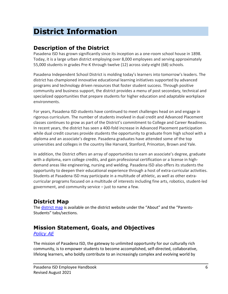# **District Information**

## **Description of the District**

Pasadena ISD has grown significantly since its inception as a one-room school house in 1898. Today, it is a large urban district employing over 8,000 employees and serving approximately 55,000 students in grades Pre-K through twelve (12) across sixty-eight (68) schools.

Pasadena Independent School District is molding today's learners into tomorrow's leaders. The district has championed innovative educational learning initiatives supported by advanced programs and technology driven resources that foster student success. Through positive community and business support, the district provides a menu of post secondary, technical and specialized opportunities that prepare students for higher education and adaptable workplace environments.

For years, Pasadena ISD students have continued to meet challenges head on and engage in rigorous curriculum. The number of students involved in dual credit and Advanced Placement classes continues to grow as part of the District's commitment to College and Career Readiness. In recent years, the district has seen a 400-fold increase in Advanced Placement participation while dual credit courses provide students the opportunity to graduate from high school with a diploma and an associate's degree. Pasadena graduates have attended some of the top universities and colleges in the country like Harvard, Stanford, Princeton, Brown and Yale.

In addition, the District offers an array of opportunities to earn an associate's degree, graduate with a diploma, earn college credits, and gain professional certification or a license in highdemand areas like engineering, nursing and welding. Pasadena ISD also offers its students the opportunity to deepen their educational experience through a host of extra-curricular activities. Students at Pasadena ISD may participate in a multitude of athletic, as well as other extracurricular programs focused on a multitude of interests including fine arts, robotics, student-led government, and community service – just to name a few.

# **District Map**

The [district map](https://www1.pasadenaisd.org/UserFiles/Servers/Server_80688/File/Maps/DistrictMap_2019-20.pdf) is available on the district website under the "About" and the "Parents-Students" tabs/sections.

# **Mission Statement, Goals, and Objectives**

*[Policy AE](https://pol.tasb.org/Home/Index/597)*

The mission of Pasadena ISD, the gateway to unlimited opportunity for our culturally rich community, is to empower students to become accomplished, self-directed, collaborative, lifelong learners, who boldly contribute to an increasingly complex and evolving world by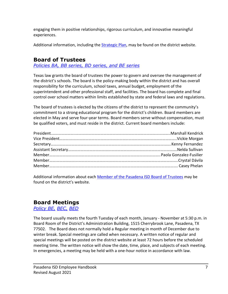engaging them in positive relationships, rigorous curriculum, and innovative meaningful experiences.

Additional information, including the [Strategic Plan,](https://www1.pasadenaisd.org/UserFiles/Servers/Server_80688/File/StrategicPlan_2015-2020.pdf) may be found on the district website.

# **Board of Trustees**

*[Policies BA, BB series, BD series, and BE series](https://pol.tasb.org/Policy/Search/597?filter=ba)*

Texas law grants the board of trustees the power to govern and oversee the management of the district's schools. The board is the policy-making body within the district and has overall responsibility for the curriculum, school taxes, annual budget, employment of the superintendent and other professional staff, and facilities. The board has complete and final control over school matters within limits established by state and federal laws and regulations.

The board of trustees is elected by the citizens of the district to represent the community's commitment to a strong educational program for the district's children. Board members are elected in May and serve four-year terms. Board members serve without compensation, must be qualified voters, and must reside in the district. Current board members include:

Additional information about each [Member of the Pasadena ISD Board of Trustees](https://www1.pasadenaisd.org/school_board/board_members_2020-2021) may be found on the district's website.

#### **Board Meetings**

*[Policy BE,](https://pol.tasb.org/Policy/Code/597?filter=BE) [BEC,](https://pol.tasb.org/Policy/Code/597?filter=BEC) [BED](https://pol.tasb.org/Policy/Code/597?filter=BED)*

The board usually meets the fourth Tuesday of each month, January - November at 5:30 p.m. in Board Room of the District's Administration Building, 1515 Cherrybrook Lane, Pasadena, TX 77502. The Board does not normally hold a Regular meeting in month of December due to winter break. Special meetings are called when necessary. A written notice of regular and special meetings will be posted on the district website at least 72 hours before the scheduled meeting time. The written notice will show the date, time, place, and subjects of each meeting. In emergencies, a meeting may be held with a one-hour notice in accordance with law.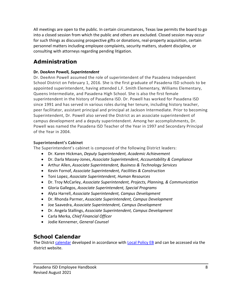All meetings are open to the public. In certain circumstances, Texas law permits the board to go into a closed session from which the public and others are excluded. Closed session may occur for such things as discussing prospective gifts or donations, real-property acquisition, certain personnel matters including employee complaints, security matters, student discipline, or consulting with attorneys regarding pending litigation.

# **Administration**

#### **Dr. DeeAnn Powell***, Superintendent*

Dr. DeeAnn Powell assumed the role of superintendent of the Pasadena Independent School District on February 1, 2016. She is the first graduate of Pasadena ISD schools to be appointed superintendent, having attended L.F. Smith Elementary, Williams Elementary, Queens Intermediate, and Pasadena High School. She is also the first female superintendent in the history of Pasadena ISD. Dr. Powell has worked for Pasadena ISD since 1991 and has served in various roles during her tenure, including history teacher, peer facilitator, assistant principal and principal at Jackson Intermediate. Prior to becoming Superintendent, Dr. Powell also served the District as an associate superintendent of campus development and a deputy superintendent. Among her accomplishments, Dr. Powell was named the Pasadena ISD Teacher of the Year in 1997 and Secondary Principal of the Year in 2004.

#### **Superintendent's Cabinet**

The Superintendent's cabinet is composed of the following District leaders:

- Dr. Karen Hickman, *Deputy Superintendent, Academic Achievement*
- Dr. Darla Massey-Jones, *Associate Superintendent, Accountability & Compliance*
- Arthur Allen, *Associate Superintendent, Business & Technology Services*
- Kevin Fornof, *Associate Superintendent, Facilities & Construction*
- Toni Lopez, *Associate Superintendent, Human Resources*
- Dr. Troy McCarley, *Associate Superintendent, Projects, Planning, & Communication*
- Gloria Gallegos, *Associate Superintendent, Special Programs*
- Alyta Harrell, *Associate Superintendent, Campus Development*
- Dr. Rhonda Parmer, *Associate Superintendent, Campus Development*
- Joe Saavedra, *Associate Superintendent, Campus Development*
- Dr. Angela Stallings, *Associate Superintendent, Campus Development*
- Carla Merka, *Chief Financial Officer*
- Jodie Kennemer, *General Counsel*

## **School Calendar**

The District [calendar](https://www1.pasadenaisd.org/UserFiles/Servers/Server_80688/File/Calendars/2021-2022/2021-2022%20Calendar_070621.pdf) developed in accordance with [Local Policy EB](https://pol.tasb.org/Policy/Download/597?filename=EB(LOCAL).pdf) and can be accessed via the district website.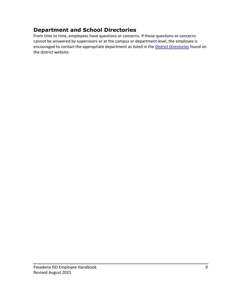## **Department and School Directories**

From time to time, employees have questions or concerns. If those questions or concerns cannot be answered by supervisors or at the campus or department level, the employee is encouraged to contact the appropriate department as listed in the **District Directories** found on the district website.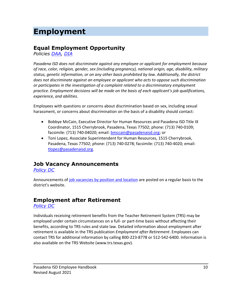# **Employment**

# **Equal Employment Opportunity**

*Policies [DAA,](https://pol.tasb.org/Policy/Code/597?filter=DAA) [DIA](https://pol.tasb.org/Policy/Code/597?filter=DIA)*

*Pasadena ISD does not discriminate against any employee or applicant for employment because of race, color, religion, gender, sex (including pregnancy), national origin, age, disability, military status, genetic information, or on any other basis prohibited by law. Additionally, the district does not discriminate against an employee or applicant who acts to oppose such discrimination or participates in the investigation of a complaint related to a discriminatory employment practice. Employment decisions will be made on the basis of each applicant's job qualifications, experience, and abilities.*

Employees with questions or concerns about discrimination based on sex, including sexual harassment, or concerns about discrimination on the basis of a disability should contact:

- Bobbye McCain, Executive Director for Human Resources and Pasadena ISD Title IX Coordinator, 1515 Cherrybrook, Pasadena, Texas 77502; phone: (713) 740-0109; facsimile: (713) 740-04020; email: [bmccain@pasadenaisd.org;](mailto:bmccain@pasadenaisd.org) or
- Toni Lopez, Associate Superintendent for Human Resources, 1515 Cherrybrook, Pasadena, Texas 77502; phone: (713) 740-0278; facsimile: (713) 740-4020; email: [tlopez@pasadenaisd.org.](mailto:tlopez@pasadenaisd.org)

# **Job Vacancy Announcements**

*[Policy DC](https://pol.tasb.org/Policy/Search/597?filter=dc)*

Announcements of [job vacancies by position and location](https://pasadena.tedk12.com/hire/index.aspx) are posted on a regular basis to the district's website.

## **Employment after Retirement**

*[Policy DC](https://pol.tasb.org/Policy/Search/597?filter=dc)*

Individuals receiving retirement benefits from the Teacher Retirement System (TRS) may be employed under certain circumstances on a full- or part-time basis without affecting their benefits, according to TRS rules and state law. Detailed information about employment after retirement is available in the TRS publication *Employment after Retirement*. Employees can contact TRS for additional information by calling 800-223-8778 or 512-542-6400. Information is also available on the TRS Website (www.trs.texas.gov).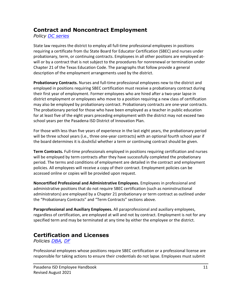#### **Contract and Noncontract Employment**

*Policy [DC series](https://pol.tasb.org/Policy/Search/597?filter=dc)*

State law requires the district to employ all full-time professional employees in positions requiring a certificate from the State Board for Educator Certification (SBEC) and nurses under probationary, term, or continuing contracts. Employees in all other positions are employed atwill or by a contract that is not subject to the procedures for nonrenewal or termination under Chapter 21 of the Texas Education Code. The paragraphs that follow provide a general description of the employment arrangements used by the district.

**Probationary Contracts.** Nurses and full-time professional employees new to the district and employed in positions requiring SBEC certification must receive a probationary contract during their first year of employment. Former employees who are hired after a two-year lapse in district employment or employees who move to a position requiring a new class of certification may also be employed by probationary contract. Probationary contracts are one-year contracts. The probationary period for those who have been employed as a teacher in public education for at least five of the eight years preceding employment with the district may not exceed two school years per the Pasadena ISD District of Innovation Plan.

For those with less than five years of experience in the last eight years, the probationary period will be three school years (i.e., three one-year contracts) with an optional fourth school year if the board determines it is doubtful whether a term or continuing contract should be given.

**Term Contracts.** Full-time professionals employed in positions requiring certification and nurses will be employed by term contracts after they have successfully completed the probationary period. The terms and conditions of employment are detailed in the contract and employment policies. All employees will receive a copy of their contract. Employment policies can be accessed online or copies will be provided upon request.

**Noncertified Professional and Administrative Employees.** Employees in professional and administrative positions that do not require SBEC certification (such as noninstructional administrators) are employed by a Chapter 21 probationary or term contract as outlined under the "Probationary Contracts" and "Term Contracts" sections above.

**Paraprofessional and Auxiliary Employees.** All paraprofessional and auxiliary employees, regardless of certification, are employed at will and not by contract. Employment is not for any specified term and may be terminated at any time by either the employee or the district.

# **Certification and Licenses**

*Policies [DBA,](https://pol.tasb.org/Policy/Search/597?filter=DBA) [DF](https://pol.tasb.org/Policy/Search/597?filter=df)*

Professional employees whose positions require SBEC certification or a professional license are responsible for taking actions to ensure their credentials do not lapse. Employees must submit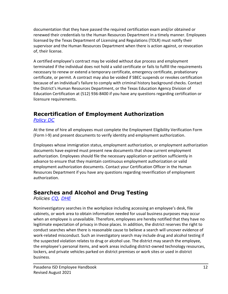documentation that they have passed the required certification exam and/or obtained or renewed their credentials to the Human Resources Department in a timely manner. Employees licensed by the Texas Department of Licensing and Regulations (TDLR) must notify their supervisor and the Human Resources Department when there is action against, or revocation of, their license.

A certified employee's contract may be voided without due process and employment terminated if the individual does not hold a valid certificate or fails to fulfill the requirements necessary to renew or extend a temporary certificate, emergency certificate, probationary certificate, or permit. A contract may also be voided if SBEC suspends or revokes certification because of an individual's failure to comply with criminal history background checks. Contact the District's Human Resources Department, or the Texas Education Agency Division of Education Certification at (512) 936-8400 if you have any questions regarding certification or licensure requirements.

# **Recertification of Employment Authorization**

*[Policy DC](https://pol.tasb.org/Policy/Search/597?filter=dc)*

At the time of hire all employees must complete the Employment Eligibility Verification Form (Form I-9) and present documents to verify identity and employment authorization.

Employees whose immigration status, employment authorization, or employment authorization documents have expired must present new documents that show current employment authorization. Employees should file the necessary application or petition sufficiently in advance to ensure that they maintain continuous employment authorization or valid employment authorization documents. Contact your Certification Officer in the Human Resources Department if you have any questions regarding reverification of employment authorization.

## **Searches and Alcohol and Drug Testing**

*Policies [CQ,](https://pol.tasb.org/Policy/Search/597?filter=CQ) [DHE](https://pol.tasb.org/Policy/Search/597?filter=dhe)*

Noninvestigatory searches in the workplace including accessing an employee's desk, file cabinets, or work area to obtain information needed for usual business purposes may occur when an employee is unavailable. Therefore, employees are hereby notified that they have no legitimate expectation of privacy in those places. In addition, the district reserves the right to conduct searches when there is reasonable cause to believe a search will uncover evidence of work-related misconduct. Such an investigatory search may include drug and alcohol testing if the suspected violation relates to drug or alcohol use. The district may search the employee, the employee's personal items, and work areas including district-owned technology resources, lockers, and private vehicles parked on district premises or work sites or used in district business.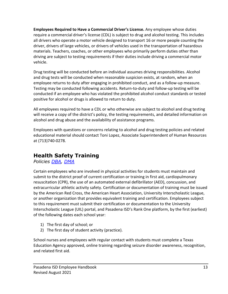**Employees Required to Have a Commercial Driver's License.** Any employee whose duties require a commercial driver's license (CDL) is subject to drug and alcohol testing. This includes all drivers who operate a motor vehicle designed to transport 16 or more people counting the driver, drivers of large vehicles, or drivers of vehicles used in the transportation of hazardous materials. Teachers, coaches, or other employees who primarily perform duties other than driving are subject to testing requirements if their duties include driving a commercial motor vehicle.

Drug testing will be conducted before an individual assumes driving responsibilities. Alcohol and drug tests will be conducted when reasonable suspicion exists, at random, when an employee returns to duty after engaging in prohibited conduct, and as a follow-up measure. Testing may be conducted following accidents. Return-to-duty and follow-up testing will be conducted if an employee who has violated the prohibited alcohol conduct standards or tested positive for alcohol or drugs is allowed to return to duty.

All employees required to have a CDL or who otherwise are subject to alcohol and drug testing will receive a copy of the district's policy, the testing requirements, and detailed information on alcohol and drug abuse and the availability of assistance programs.

Employees with questions or concerns relating to alcohol and drug testing policies and related educational material should contact Toni Lopez, Associate Superintendent of Human Resources at (713)740-0278.

## **Health Safety Training**

*Policies [DBA,](https://pol.tasb.org/Policy/Search/597?filter=DBA) [DMA](https://pol.tasb.org/Policy/Search/597?filter=dma)*

Certain employees who are involved in physical activities for students must maintain and submit to the district proof of current certification or training in first aid, cardiopulmonary resuscitation (CPR), the use of an automated external defibrillator (AED), concussion, and extracurricular athletic activity safety. Certification or documentation of training must be issued by the American Red Cross, the American Heart Association, University Interscholastic League, or another organization that provides equivalent training and certification. Employees subject to this requirement must submit their certification or documentation to the University Interscholastic League (UIL) portal, and Pasadena ISD's Rank One platform, by the first (earliest) of the following dates each school year:

- 1) The first day of school; or
- 2) The first day of student activity (practice).

School nurses and employees with regular contact with students must complete a Texas Education Agency approved, online training regarding seizure disorder awareness, recognition, and related first aid.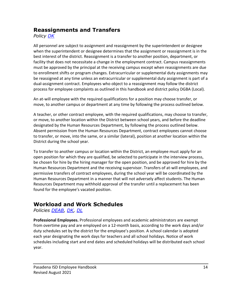#### **Reassignments and Transfers**

*Policy [DK](https://pol.tasb.org/Policy/Search/597?filter=dk)*

All personnel are subject to assignment and reassignment by the superintendent or designee when the superintendent or designee determines that the assignment or reassignment is in the best interest of the district. Reassignment is a transfer to another position, department, or facility that does not necessitate a change in the employment contract. Campus reassignments must be approved by the principal at the receiving campus except when reassignments are due to enrollment shifts or program changes. Extracurricular or supplemental duty assignments may be reassigned at any time unless an extracurricular or supplemental duty assignment is part of a dual-assignment contract. Employees who object to a reassignment may follow the district process for employee complaints as outlined in this handbook and district policy DGBA (Local).

An at-will employee with the required qualifications for a position may choose transfer, or move, to another campus or department at any time by following the process outlined below.

A teacher, or other contract employee, with the required qualifications, may choose to transfer, or move, to another location within the District between school years, and before the deadline designated by the Human Resources Department, by following the process outlined below. Absent permission from the Human Resources Department, contract employees cannot choose to transfer, or move, into the same, or a similar (lateral), position at another location within the District during the school year.

To transfer to another campus or location within the District, an employee must apply for an open position for which they are qualified, be selected to participate in the interview process, be chosen for hire by the hiring manager for the open position, and be approved for hire by the Human Resources Department and the receiving supervisor. Transfers of at-will employees, and permissive transfers of contract employees, during the school year will be coordinated by the Human Resources Department in a manner that will not adversely affect students. The Human Resources Department may withhold approval of the transfer until a replacement has been found for the employee's vacated position.

# **Workload and Work Schedules**

*Policies [DEAB,](https://pol.tasb.org/Policy/Search/597?filter=DEAB) [DK,](https://pol.tasb.org/Policy/Search/597?filter=dk) [DL](https://pol.tasb.org/Policy/Search/597?filter=dl)*

**Professional Employees.** Professional employees and academic administrators are exempt from overtime pay and are employed on a 12-month basis, according to the work days and/or duty schedules set by the district for the employee's position. A school calendar is adopted each year designating the work days for teachers and all school holidays. Notice of work schedules including start and end dates and scheduled holidays will be distributed each school year.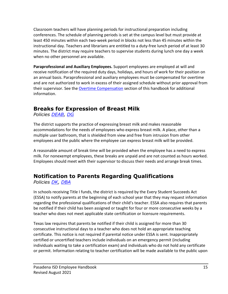Classroom teachers will have planning periods for instructional preparation including conferences. The schedule of planning periods is set at the campus level but must provide at least 450 minutes within each two-week period in blocks not less than 45 minutes within the instructional day. Teachers and librarians are entitled to a duty-free lunch period of at least 30 minutes. The district may require teachers to supervise students during lunch one day a week when no other personnel are available.

**Paraprofessional and Auxiliary Employees.** Support employees are employed at will and receive notification of the required duty days, holidays, and hours of work for their position on an annual basis. Paraprofessional and auxiliary employees must be compensated for overtime and are not authorized to work in excess of their assigned schedule without prior approval from their supervisor. See th[e Overtime Compensation](#page-20-0) section of this handbook for additional information.

# **Breaks for Expression of Breast Milk**

*Policies [DEAB,](https://pol.tasb.org/Policy/Search/597?filter=deab) [DG](https://pol.tasb.org/Policy/Search/597?filter=dg)*

The district supports the practice of expressing breast milk and makes reasonable accommodations for the needs of employees who express breast milk. A place, other than a multiple user bathroom, that is shielded from view and free from intrusion from other employees and the public where the employee can express breast milk will be provided.

A reasonable amount of break time will be provided when the employee has a need to express milk. For nonexempt employees, these breaks are unpaid and are not counted as hours worked. Employees should meet with their supervisor to discuss their needs and arrange break times.

# **Notification to Parents Regarding Qualifications**

*Policies [DK,](https://pol.tasb.org/Policy/Search/597?filter=dk) [DBA](https://pol.tasb.org/Policy/Search/597?filter=dba)*

In schools receiving Title I funds, the district is required by the Every Student Succeeds Act (ESSA) to notify parents at the beginning of each school year that they may request information regarding the professional qualifications of their child's teacher. ESSA also requires that parents be notified if their child has been assigned or taught for four or more consecutive weeks by a teacher who does not meet applicable state certification or licensure requirements.

Texas law requires that parents be notified if their child is assigned for more than 30 consecutive instructional days to a teacher who does not hold an appropriate teaching certificate. This notice is not required if parental notice under ESSA is sent. Inappropriately certified or uncertified teachers include individuals on an emergency permit (including individuals waiting to take a certification exam) and individuals who do not hold any certificate or permit. Information relating to teacher certification will be made available to the public upon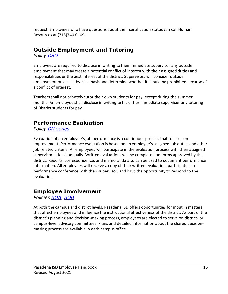request. Employees who have questions about their certification status can call Human Resources at (713)740-0109.

## **Outside Employment and Tutoring**

*Policy [DBD](https://pol.tasb.org/Policy/Search/597?filter=dbd)*

Employees are required to disclose in writing to their immediate supervisor any outside employment that may create a potential conflict of interest with their assigned duties and responsibilities or the best interest of the district. Supervisors will consider outside employment on a case-by-case basis and determine whether it should be prohibited because of a conflict of interest.

Teachers shall not privately tutor their own students for pay, except during the summer months. An employee shall disclose in writing to his or her immediate supervisor any tutoring of District students for pay.

# **Performance Evaluation**

*Policy [DN series](https://pol.tasb.org/Policy/Search/597?filter=dn)*

Evaluation of an employee's job performance is a continuous process that focuses on improvement. Performance evaluation is based on an employee's assigned job duties and other job-related criteria. All employees will participate in the evaluation process with their assigned supervisor at least annually. Written evaluations will be completed on forms approved by the district. Reports, correspondence, and memoranda also can be used to document performance information. All employees will receive a copy of their written evaluation, participate in a performance conference with their supervisor, and have the opportunity to respond to the evaluation.

# **Employee Involvement**

*Policies [BQA,](https://pol.tasb.org/Policy/Search/597?filter=bqa) [BQB](https://pol.tasb.org/Policy/Search/597?filter=bqb)*

At both the campus and district levels, Pasadena ISD offers opportunities for input in matters that affect employees and influence the instructional effectiveness of the district. As part of the district's planning and decision-making process, employees are elected to serve on district- or campus-level advisory committees. Plans and detailed information about the shared decisionmaking process are available in each campus office.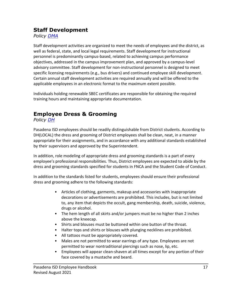#### **Staff Development**

*Policy [DMA](https://pol.tasb.org/Policy/Search/597?filter=dma)*

Staff development activities are organized to meet the needs of employees and the district, as well as federal, state, and local legal requirements. Staff development for instructional personnel is predominantly campus-based, related to achieving campus performance objectives, addressed in the campus improvement plan, and approved by a campus-level advisory committee. Staff development for non-instructional personnel is designed to meet specific licensing requirements (e.g., bus drivers) and continued employee skill development. Certain annual staff development activities are required annually and will be offered to the applicable employees in an electronic format to the maximum extent possible.

Individuals holding renewable SBEC certificates are responsible for obtaining the required training hours and maintaining appropriate documentation.

# **Employee Dress & Grooming**

*Policy [DH](https://pol.tasb.org/Policy/Code/597?filter=DH)*

Pasadena ISD employees should be readily distinguishable from District students. According to DH(LOCAL) the dress and grooming of District employees shall be clean, neat, in a manner appropriate for their assignments, and in accordance with any additional standards established by their supervisors and approved by the Superintendent.

In addition, role modeling of appropriate dress and grooming standards is a part of every employee's professional responsibilities. Thus, District employees are expected to abide by the dress and grooming standards specified for students in FNCA and the Student Code of Conduct.

In addition to the standards listed for students, employees should ensure their professional dress and grooming adhere to the following standards:

- Articles of clothing, garments, makeup and accessories with inappropriate decorations or advertisements are prohibited. This includes, but is not limited to, any item that depicts the occult, gang membership, death, suicide, violence, drugs or alcohol.
- The hem length of all skirts and/or jumpers must be no higher than 2 inches above the kneecap.
- Shirts and blouses must be buttoned within one button of the throat.
- Halter tops and shirts or blouses with plunging necklines are prohibited.
- All tattoos must be appropriately covered.
- Males are not permitted to wear earrings of any type. Employees are not permitted to wear nontraditional piercings such as nose, lip, etc.
- Employees will appear clean-shaven at all times except for any portion of their face covered by a mustache and beard.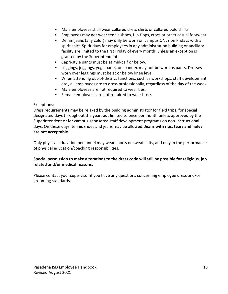- Male employees shall wear collared dress shirts or collared polo shirts.
- Employees may not wear tennis shoes, flip-flops, crocs or other casual footwear
- Denim jeans (any color) may only be worn on campus ONLY on Fridays with a spirit shirt. Spirit days for employees in any administration building or ancillary facility are limited to the first Friday of every month, unless an exception is granted by the Superintendent.
- Capri-style pants must be at mid-calf or below.
- Leggings, jeggings, yoga pants, or spandex may not be worn as pants. Dresses worn over leggings must be at or below knee level.
- When attending out-of-district functions, such as workshops, staff development, etc., all employees are to dress professionally, regardless of the day of the week.
- Male employees are not required to wear ties.
- Female employees are not required to wear hose.

#### Exceptions:

Dress requirements may be relaxed by the building administrator for field trips, for special designated days throughout the year, but limited to once per month unless approved by the Superintendent or for campus-sponsored staff development programs on non-instructional days. On these days, tennis shoes and jeans may be allowed. **Jeans with rips, tears and holes are not acceptable.**

Only physical education personnel may wear shorts or sweat suits, and only in the performance of physical education/coaching responsibilities.

#### **Special permission to make alterations to the dress code will still be possible for religious, job related and/or medical reasons.**

Please contact your supervisor if you have any questions concerning employee dress and/or grooming standards.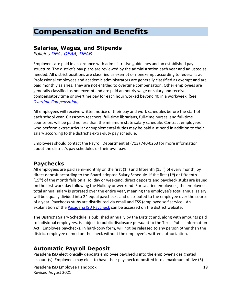# **Compensation and Benefits**

#### **Salaries, Wages, and Stipends**

*Policies [DEA,](https://pol.tasb.org/Policy/Search/597?filter=dea) [DEAA,](https://pol.tasb.org/Policy/Search/597?filter=deaa) [DEAB](https://pol.tasb.org/Policy/Search/597?filter=deab)*

Employees are paid in accordance with administrative guidelines and an established pay structure. The district's pay plans are reviewed by the administration each year and adjusted as needed. All district positions are classified as exempt or nonexempt according to federal law. Professional employees and academic administrators are generally classified as exempt and are paid monthly salaries. They are not entitled to overtime compensation. Other employees are generally classified as nonexempt and are paid an hourly wage or salary and receive compensatory time or overtime pay for each hour worked beyond 40 in a workweek. (See *[Overtime Compensation](#page-20-0)*)

All employees will receive written notice of their pay and work schedules before the start of each school year. Classroom teachers, full-time librarians, full-time nurses, and full-time counselors will be paid no less than the minimum state salary schedule. Contract employees who perform extracurricular or supplemental duties may be paid a stipend in addition to their salary according to the district's extra-duty pay schedule.

Employees should contact the Payroll Department at (713) 740-0263 for more information about the district's pay schedules or their own pay.

## **Paychecks**

All employees are paid semi-monthly on the first  $(1<sup>st</sup>)$  and fifteenth  $(15<sup>th</sup>)$  of every month, by direct deposit according to the Board-adopted Salary Schedule. If the first  $(1<sup>st</sup>)$  or fifteenth (15<sup>th</sup>) of the month falls on a Holiday or weekend, direct deposits and paycheck stubs are issued on the first work day following the Holiday or weekend. For salaried employees, the employee's total annual salary is prorated over the entire year, meaning the employee's total annual salary will be equally divided into 24 equal paychecks and distributed to the employee over the course of a year. Paychecks stubs are distributed via email and ESS (employee self service). An explanation of the **Pasadena ISD Paycheck** can be accessed on the district website.

The District's Salary Schedule is published annually by the District and, along with amounts paid to individual employees, is subject to public disclosure pursuant to the Texas Public Information Act. Employee paychecks, in hard-copy form, will not be released to any person other than the district employee named on the check without the employee's written authorization.

#### **Automatic Payroll Deposit**

Pasadena ISD electronically deposits employee paychecks into the employee's designated account(s). Employees may elect to have their paycheck deposited into a maximum of five (5)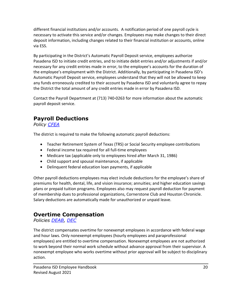different financial institutions and/or accounts. A notification period of one payroll cycle is necessary to activate this service and/or changes. Employees may make changes to their direct deposit information, including changes related to their financial institution or accounts, online via ESS.

By participating in the District's Automatic Payroll Deposit service, employees authorize Pasadena ISD to initiate credit entries, and to initiate debit entries and/or adjustments if and/or necessary for any credit entries made in error, to the employee's accounts for the duration of the employee's employment with the District. Additionally, by participating in Pasadena ISD's Automatic Payroll Deposit service, employees understand that they will not be allowed to keep any funds erroneously credited to their account by Pasadena ISD and voluntarily agree to repay the District the total amount of any credit entries made in error by Pasadena ISD.

Contact the Payroll Department at (713) 740-0263 for more information about the automatic payroll deposit service.

# **Payroll Deductions**

*Policy [CFEA](https://pol.tasb.org/Policy/Search/597?filter=cfea)*

The district is required to make the following automatic payroll deductions:

- Teacher Retirement System of Texas (TRS) or Social Security employee contributions
- Federal income tax required for all full-time employees
- Medicare tax (applicable only to employees hired after March 31, 1986)
- Child support and spousal maintenance, if applicable
- Delinquent federal education loan payments, if applicable

Other payroll deductions employees may elect include deductions for the employee's share of premiums for health, dental, life, and vision insurance; annuities; and higher education savings plans or prepaid tuition programs. Employees also may request payroll deduction for payment of membership dues to professional organizations, Cornerstone Club and Houston Chronicle. Salary deductions are automatically made for unauthorized or unpaid leave.

# <span id="page-20-0"></span>**Overtime Compensation**

*Policies [DEAB,](https://pol.tasb.org/Policy/Search/597?filter=deab) [DEC](https://pol.tasb.org/Policy/Search/597?filter=dec)*

The district compensates overtime for nonexempt employees in accordance with federal wage and hour laws. Only nonexempt employees (hourly employees and paraprofessional employees) are entitled to overtime compensation. Nonexempt employees are not authorized to work beyond their normal work schedule without advance approval from their supervisor. A nonexempt employee who works overtime without prior approval will be subject to disciplinary action.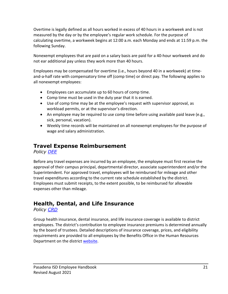Overtime is legally defined as all hours worked in excess of 40 hours in a workweek and is not measured by the day or by the employee's regular work schedule. For the purpose of calculating overtime, a workweek begins at 12:00 a.m. each Monday and ends at 11:59 p.m. the following Sunday.

Nonexempt employees that are paid on a salary basis are paid for a 40-hour workweek and do not ear additional pay unless they work more than 40 hours.

Employees may be compensated for overtime (i.e., hours beyond 40 in a workweek) at timeand-a-half rate with compensatory time off (comp time) or direct pay. The following applies to all nonexempt employees:

- Employees can accumulate up to 60 hours of comp time.
- Comp time must be used in the duty year that it is earned.
- Use of comp time may be at the employee's request with supervisor approval, as workload permits, or at the supervisor's direction.
- An employee may be required to use comp time before using available paid leave (e.g., sick, personal, vacation).
- Weekly time records will be maintained on all nonexempt employees for the purpose of wage and salary administration.

# **Travel Expense Reimbursement**

*Policy [DEE](https://pol.tasb.org/Policy/Search/597?filter=dee)*

Before any travel expenses are incurred by an employee, the employee must first receive the approval of their campus principal, departmental director, associate superintendent and/or the Superintendent. For approved travel, employees will be reimbursed for mileage and other travel expenditures according to the current rate schedule established by the district. Employees must submit receipts, to the extent possible, to be reimbursed for allowable expenses other than mileage.

# **Health, Dental, and Life Insurance**

*Policy [CRD](https://pol.tasb.org/Policy/Search/597?filter=crd)*

Group health insurance, dental insurance, and life insurance coverage is available to district employees. The district's contribution to employee insurance premiums is determined annually by the board of trustees. Detailed descriptions of insurance coverage, prices, and eligibility requirements are provided to all employees by the Benefits Office in the Human Resources Department on the district [website.](https://www1.pasadenaisd.org/cms/One.aspx?portalId=80772&pageId=12991757)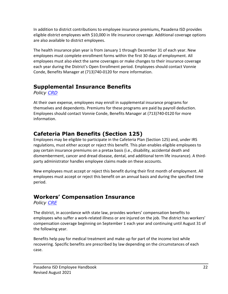In addition to district contributions to employee insurance premiums, Pasadena ISD provides eligible district employees with \$10,000 in life insurance coverage. Additional coverage options are also available to district employees.

The health insurance plan year is from January 1 through December 31 of each year. New employees must complete enrollment forms within the first 30 days of employment. All employees must also elect the same coverages or make changes to their insurance coverage each year during the District's Open Enrollment period. Employees should contact Vonnie Conde, Benefits Manager at (713)740-0120 for more information.

## **Supplemental Insurance Benefits**

*Policy [CRD](https://pol.tasb.org/Policy/Search/597?filter=crd)*

At their own expense, employees may enroll in supplemental insurance programs for themselves and dependents. Premiums for these programs are paid by payroll deduction. Employees should contact Vonnie Conde, Benefits Manager at (713)740-0120 for more information.

# **Cafeteria Plan Benefits (Section 125)**

Employees may be eligible to participate in the Cafeteria Plan (Section 125) and, under IRS regulations, must either accept or reject this benefit. This plan enables eligible employees to pay certain insurance premiums on a pretax basis (i.e., disability, accidental death and dismemberment, cancer and dread disease, dental, and additional term life insurance). A thirdparty administrator handles employee claims made on these accounts.

New employees must accept or reject this benefit during their first month of employment. All employees must accept or reject this benefit on an annual basis and during the specified time period.

# **Workers' Compensation Insurance**

*Policy [CRE](https://pol.tasb.org/Policy/Search/597?filter=cre)*

The district, in accordance with state law, provides workers' compensation benefits to employees who suffer a work-related illness or are injured on the job. The district has workers' compensation coverage beginning on September 1 each year and continuing until August 31 of the following year.

Benefits help pay for medical treatment and make up for part of the income lost while recovering. Specific benefits are prescribed by law depending on the circumstances of each case.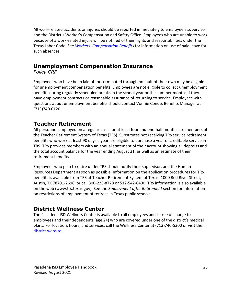All work-related accidents or injuries should be reported immediately to employee's supervisor and the District's Worker's Compensation and Safety Office. Employees who are unable to work because of a work-related injury will be notified of their rights and responsibilities under the Texas Labor Code. See *[Workers' Compensation Benefits](#page-31-0)* for information on use of paid leave for such absences.

# **Unemployment Compensation Insurance**

*Policy CRF*

Employees who have been laid off or terminated through no fault of their own may be eligible for unemployment compensation benefits. Employees are not eligible to collect unemployment benefits during regularly scheduled breaks in the school year or the summer months if they have employment contracts or reasonable assurance of returning to service. Employees with questions about unemployment benefits should contact Vonnie Conde, Benefits Manager at (713)740-0120.

# **Teacher Retirement**

All personnel employed on a regular basis for at least four and one-half months are members of the Teacher Retirement System of Texas (TRS). Substitutes not receiving TRS service retirement benefits who work at least 90 days a year are eligible to purchase a year of creditable service in TRS. TRS provides members with an annual statement of their account showing all deposits and the total account balance for the year ending August 31, as well as an estimate of their retirement benefits.

Employees who plan to retire under TRS should notify their supervisor, and the Human Resources Department as soon as possible. Information on the application procedures for TRS benefits is available from TRS at Teacher Retirement System of Texas, 1000 Red River Street, Austin, TX 78701-2698, or call 800-223-8778 or 512-542-6400. TRS information is also available on the web (www.trs.texas.gov). See the *Employment after Retirement* section for information on restrictions of employment of retirees in Texas public schools.

# **District Wellness Center**

The Pasadena ISD Wellness Center is available to all employees and is free of charge to employees and their dependents (age 2+) who are covered under one of the district's medical plans. For location, hours, and services, call the Wellness Center at (713)740-5300 or visit the [district website.](https://pasadenaisdclinic.com/)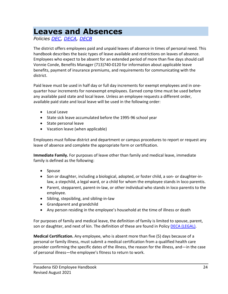# **Leaves and Absences**

*Policies [DEC,](https://pol.tasb.org/Policy/Code/597?filter=DEC) [DECA,](https://pol.tasb.org/Policy/Code/597?filter=DECA) [DECB](https://pol.tasb.org/Policy/Code/597?filter=DECB)*

The district offers employees paid and unpaid leaves of absence in times of personal need. This handbook describes the basic types of leave available and restrictions on leaves of absence. Employees who expect to be absent for an extended period of more than five days should call Vonnie Conde, Benefits Manager (713)740-0120 for information about applicable leave benefits, payment of insurance premiums, and requirements for communicating with the district.

Paid leave must be used in half day or full day increments for exempt employees and in onequarter hour increments for nonexempt employees. Earned comp time must be used before any available paid state and local leave. Unless an employee requests a different order, available paid state and local leave will be used in the following order:

- Local Leave
- State sick leave accumulated before the 1995-96 school year
- State personal leave
- Vacation leave (when applicable)

Employees must follow district and department or campus procedures to report or request any leave of absence and complete the appropriate form or certification.

**Immediate Family.** For purposes of leave other than family and medical leave, immediate family is defined as the following:

- Spouse
- Son or daughter, including a biological, adopted, or foster child, a son- or daughter-inlaw, a stepchild, a legal ward, or a child for whom the employee stands in loco parentis.
- Parent, stepparent, parent-in-law, or other individual who stands in loco parentis to the employee.
- Sibling, stepsibling, and sibling-in-law
- Grandparent and grandchild
- Any person residing in the employee's household at the time of illness or death

For purposes of family and medical leave, the definition of family is limited to spouse, parent, son or daughter, and next of kin. The definition of these are found in Policy **DECA (LEGAL)**.

**Medical Certification.** Any employee, who is absent more than five (5) days because of a personal or family illness, must submit a medical certification from a qualified health care provider confirming the specific dates of the illness, the reason for the illness, and—in the case of personal illness—the employee's fitness to return to work.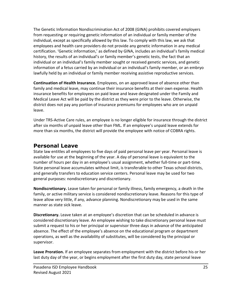The Genetic Information Nondiscrimination Act of 2008 (GINA) prohibits covered employers from requesting or requiring genetic information of an individual or family member of the individual, except as specifically allowed by this law. To comply with this law, we ask that employees and health care providers do not provide any genetic information in any medical certification. 'Genetic information,' as defined by GINA, includes an individual's family medical history, the results of an individual's or family member's genetic tests, the fact that an individual or an individual's family member sought or received genetic services, and genetic information of a fetus carried by an individual or an individual's family member, or an embryo lawfully held by an individual or family member receiving assistive reproductive services.

**Continuation of Health Insurance.** Employees, on an approved leave of absence other than family and medical leave, may continue their insurance benefits at their own expense. Health insurance benefits for employees on paid leave and leave designated under the Family and Medical Leave Act will be paid by the district as they were prior to the leave. Otherwise, the district does not pay any portion of insurance premiums for employees who are on unpaid leave.

Under TRS-Active Care rules, an employee is no longer eligible for insurance through the district after six months of unpaid leave other than FML. If an employee's unpaid leave extends for more than six months, the district will provide the employee with notice of COBRA rights.

#### **Personal Leave**

State law entitles all employees to five days of paid personal leave per year. Personal leave is available for use at the beginning of the year. A day of personal leave is equivalent to the number of hours per day in an employee's usual assignment, whether full-time or part-time. State personal leave accumulates without limit, is transferable to other Texas school districts, and generally transfers to education service centers. Personal leave may be used for two general purposes: nondiscretionary and discretionary.

**Nondiscretionary.** Leave taken for personal or family illness, family emergency, a death in the family, or active military service is considered nondiscretionary leave. Reasons for this type of leave allow very little, if any, advance planning. Nondiscretionary may be used in the same manner as state sick leave.

**Discretionary.** Leave taken at an employee's discretion that can be scheduled in advance is considered discretionary leave. An employee wishing to take discretionary personal leave must submit a request to his or her principal or supervisor three days in advance of the anticipated absence. The effect of the employee's absence on the educational program or department operations, as well as the availability of substitutes, will be considered by the principal or supervisor.

**Leave Proration.** If an employee separates from employment with the district before his or her last duty day of the year, or begins employment after the first duty day, state personal leave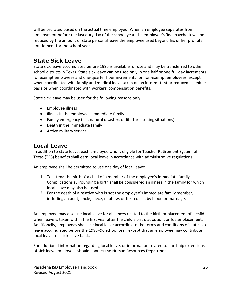will be prorated based on the actual time employed. When an employee separates from employment before the last duty day of the school year, the employee's final paycheck will be reduced by the amount of state personal leave the employee used beyond his or her pro rata entitlement for the school year.

## **State Sick Leave**

State sick leave accumulated before 1995 is available for use and may be transferred to other school districts in Texas. State sick leave can be used only in one half or one full day increments for exempt employees and one-quarter hour increments for non-exempt employees, except when coordinated with family and medical leave taken on an intermittent or reduced-schedule basis or when coordinated with workers' compensation benefits.

State sick leave may be used for the following reasons only:

- Employee illness
- Illness in the employee's immediate family
- Family emergency (i.e., natural disasters or life-threatening situations)
- Death in the immediate family
- Active military service

## **Local Leave**

In addition to state leave, each employee who is eligible for Teacher Retirement System of Texas (TRS) benefits shall earn local leave in accordance with administrative regulations.

An employee shall be permitted to use one day of local leave:

- 1. To attend the birth of a child of a member of the employee's immediate family. Complications surrounding a birth shall be considered an illness in the family for which local leave may also be used.
- 2. For the death of a relative who is not the employee's immediate family member, including an aunt, uncle, niece, nephew, or first cousin by blood or marriage.

An employee may also use local leave for absences related to the birth or placement of a child when leave is taken within the first year after the child's birth, adoption, or foster placement. Additionally, employees shall use local leave according to the terms and conditions of state sick leave accumulated before the 1995–96 school year, except that an employee may contribute local leave to a sick leave bank.

For additional information regarding local leave, or information related to hardship extensions of sick leave employees should contact the Human Resources Department.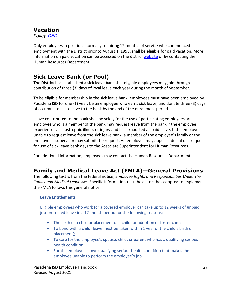# **Vacation**

*Policy [DED](https://pol.tasb.org/Policy/Search/597?filter=ded)*

Only employees in positions normally requiring 12 months of service who commenced employment with the District prior to August 1, 1998, shall be eligible for paid vacation. More information on paid vacation can be accessed on the district [website](https://pol.tasb.org/Policy/Code/597?filter=DED) or by contacting the Human Resources Department.

## **Sick Leave Bank (or Pool)**

The District has established a sick leave bank that eligible employees may join through contribution of three (3) days of local leave each year during the month of September.

To be eligible for membership in the sick leave bank, employees must have been employed by Pasadena ISD for one (1) year, be an employee who earns sick leave, and donate three (3) days of accumulated sick leave to the bank by the end of the enrollment period.

Leave contributed to the bank shall be solely for the use of participating employees. An employee who is a member of the bank may request leave from the bank if the employee experiences a catastrophic illness or injury and has exhausted all paid leave. If the employee is unable to request leave from the sick leave bank, a member of the employee's family or the employee's supervisor may submit the request. An employee may appeal a denial of a request for use of sick leave bank days to the Associate Superintendent for Human Resources.

For additional information, employees may contact the Human Resources Department.

#### **Family and Medical Leave Act (FMLA)—General Provisions**

The following text is from the federal notice, *Employee Rights and Responsibilities Under the Family and Medical Leave Act*. Specific information that the district has adopted to implement the FMLA follows this general notice.

#### **Leave Entitlements**

Eligible employees who work for a covered employer can take up to 12 weeks of unpaid, job-protected leave in a 12-month period for the following reasons:

- The birth of a child or placement of a child for adoption or foster care;
- To bond with a child (leave must be taken within 1 year of the child's birth or placement);
- To care for the employee's spouse, child, or parent who has a qualifying serious health condition;
- For the employee's own qualifying serious health condition that makes the employee unable to perform the employee's job;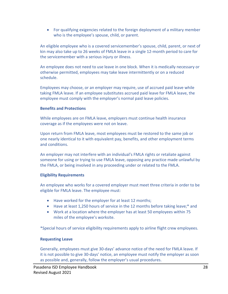• For qualifying exigencies related to the foreign deployment of a military member who is the employee's spouse, child, or parent.

An eligible employee who is a covered servicemember's spouse, child, parent, or next of kin may also take up to 26 weeks of FMLA leave in a single 12-month period to care for the servicemember with a serious injury or illness.

An employee does not need to use leave in one block. When it is medically necessary or otherwise permitted, employees may take leave intermittently or on a reduced schedule.

Employees may choose, or an employer may require, use of accrued paid leave while taking FMLA leave. If an employee substitutes accrued paid leave for FMLA leave, the employee must comply with the employer's normal paid leave policies.

#### **Benefits and Protections**

While employees are on FMLA leave, employers must continue health insurance coverage as if the employees were not on leave.

Upon return from FMLA leave, most employees must be restored to the same job or one nearly identical to it with equivalent pay, benefits, and other employment terms and conditions.

An employer may not interfere with an individual's FMLA rights or retaliate against someone for using or trying to use FMLA leave, opposing any practice made unlawful by the FMLA, or being involved in any proceeding under or related to the FMLA.

#### **Eligibility Requirements**

An employee who works for a covered employer must meet three criteria in order to be eligible for FMLA leave. The employee must:

- Have worked for the employer for at least 12 months;
- Have at least 1,250 hours of service in the 12 months before taking leave;\* and
- Work at a location where the employer has at least 50 employees within 75 miles of the employee's worksite.

\*Special hours of service eligibility requirements apply to airline flight crew employees.

#### **Requesting Leave**

Generally, employees must give 30-days' advance notice of the need for FMLA leave. If it is not possible to give 30-days' notice, an employee must notify the employer as soon as possible and, generally, follow the employer's usual procedures.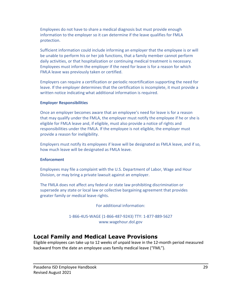Employees do not have to share a medical diagnosis but must provide enough information to the employer so it can determine if the leave qualifies for FMLA protection.

Sufficient information could include informing an employer that the employee is or will be unable to perform his or her job functions, that a family member cannot perform daily activities, or that hospitalization or continuing medical treatment is necessary. Employees must inform the employer if the need for leave is for a reason for which FMLA leave was previously taken or certified.

Employers can require a certification or periodic recertification supporting the need for leave. If the employer determines that the certification is incomplete, it must provide a written notice indicating what additional information is required.

#### **Employer Responsibilities**

Once an employer becomes aware that an employee's need for leave is for a reason that may qualify under the FMLA, the employer must notify the employee if he or she is eligible for FMLA leave and, if eligible, must also provide a notice of rights and responsibilities under the FMLA. If the employee is not eligible, the employer must provide a reason for ineligibility.

Employers must notify its employees if leave will be designated as FMLA leave, and if so, how much leave will be designated as FMLA leave.

#### **Enforcement**

Employees may file a complaint with the U.S. Department of Labor, Wage and Hour Division, or may bring a private lawsuit against an employer.

The FMLA does not affect any federal or state law prohibiting discrimination or supersede any state or local law or collective bargaining agreement that provides greater family or medical leave rights.

For additional information:

1-866-4US-WAGE (1-866-487-9243) TTY: 1-877-889-5627 [www.wagehour.dol.gov](http://www.wagehour.dol.gov/)

#### **Local Family and Medical Leave Provisions**

Eligible employees can take up to 12 weeks of unpaid leave in the 12-month period measured backward from the date an employee uses family medical leave ("FML").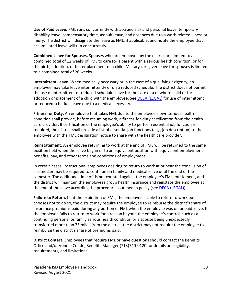**Use of Paid Leave.** FML runs concurrently with accrued sick and personal leave, temporary disability leave, compensatory time, assault leave, and absences due to a work-related illness or injury. The district will designate the leave as FML, if applicable, and notify the employee that accumulated leave will run concurrently.

**Combined Leave for Spouses.** Spouses who are employed by the district are limited to a combined total of 12 weeks of FML to care for a parent with a serious health condition; or for the birth, adoption, or foster placement of a child. Military caregiver leave for spouses is limited to a combined total of 26 weeks.

**Intermittent Leave.** When medically necessary or in the case of a qualifying exigency, an employee may take leave intermittently or on a reduced schedule. The district does not permit the use of intermittent or reduced-schedule leave for the care of a newborn child or for adoption or placement of a child with the employee. See DECA [\(LEGAL\)](https://pol.tasb.org/Policy/Download/597?filename=DECA(LEGAL).pdf) for use of intermittent or reduced schedule leave due to a medical necessity.

**Fitness for Duty.** An employee that takes FML due to the employee's own serious health condition shall provide, before resuming work, a fitness-for-duty certification from the health care provider. If certification of the employee's ability to perform essential job function is required, the district shall provide a list of essential job functions (e.g., job description) to the employee with the FML designation notice to share with the health care provider.

**Reinstatement.** An employee returning to work at the end of FML will be returned to the same position held when the leave began or to an equivalent position with equivalent employment benefits, pay, and other terms and conditions of employment.

In certain cases, instructional employees desiring to return to work at or near the conclusion of a semester may be required to continue on family and medical leave until the end of the semester. The additional time off is not counted against the employee's FML entitlement, and the district will maintain the employees group health insurance and reinstate the employee at the end of the leave according the procedures outlined in policy (see **DECA (LEGAL)**).

**Failure to Return.** If, at the expiration of FML, the employee is able to return to work but chooses not to do so, the district may require the employee to reimburse the district's share of insurance premiums paid during any portion of FML when the employee was on unpaid leave. If the employee fails to return to work for a reason beyond the employee's control, such as a continuing personal or family serious health condition or a spouse being unexpectedly transferred more than 75 miles from the district, the district may not require the employee to reimburse the district's share of premiums paid.

**District Contact.** Employees that require FML or have questions should contact the Benefits Office and/or Vonnie Conde, Benefits Manager (713)740-0120 for details on eligibility, requirements, and limitations.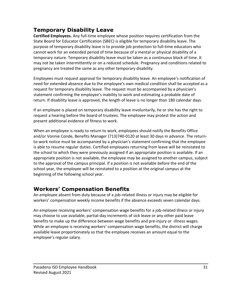# **Temporary Disability Leave**

**Certified Employees.** Any full-time employee whose position requires certification from the State Board for Educator Certification (SBEC) is eligible for temporary disability leave. The purpose of temporary disability leave is to provide job protection to full-time educators who cannot work for an extended period of time because of a mental or physical disability of a temporary nature. Temporary disability leave must be taken as a continuous block of time. It may not be taken intermittently or on a reduced schedule. Pregnancy and conditions related to pregnancy are treated the same as any other temporary disability.

Employees must request approval for temporary disability leave. An employee's notification of need for extended absence due to the employee's own medical condition shall be accepted as a request for temporary disability leave. The request must be accompanied by a physician's statement confirming the employee's inability to work and estimating a probable date of return. If disability leave is approved, the length of leave is no longer than 180 calendar days.

If an employee is placed on temporary disability leave involuntarily, he or she has the right to request a hearing before the board of trustees. The employee may protest the action and present additional evidence of fitness to work.

When an employee is ready to return to work, employees should notify the Benefits Office and/or Vonnie Conde, Benefits Manager (713)740-0120 at least 30 days in advance. The returnto-work notice must be accompanied by a physician's statement confirming that the employee is able to resume regular duties. Certified employees returning from leave will be reinstated to the school to which they were previously assigned if an appropriate position is available. If an appropriate position is not available, the employee may be assigned to another campus, subject to the approval of the campus principal. If a position is not available before the end of the school year, the employee will be reinstated to a position at the original campus at the beginning of the following school year.

# <span id="page-31-0"></span>**Workers' Compensation Benefits**

An employee absent from duty because of a job-related illness or injury may be eligible for workers' compensation weekly income benefits if the absence exceeds seven calendar days.

An employee receiving workers' compensation wage benefits for a job-related illness or injury may choose to use available, partial-day increments of sick leave or any other paid leave benefits to make up the difference between wage benefits and pre-injury or -illness wages. While an employee is receiving workers' compensation wage benefits, the district will charge available leave proportionately so that the employee receives an amount equal to the employee's regular salary.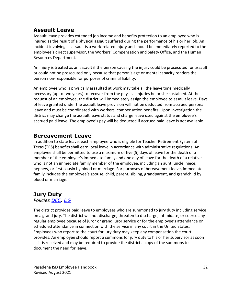#### **Assault Leave**

Assault leave provides extended job income and benefits protection to an employee who is injured as the result of a physical assault suffered during the performance of his or her job. An incident involving as assault is a work-related injury and should be immediately reported to the employee's direct supervisor, the Workers' Compensation and Safety Office, and the Human Resources Department.

An injury is treated as an assault if the person causing the injury could be prosecuted for assault or could not be prosecuted only because that person's age or mental capacity renders the person non-responsible for purposes of criminal liability.

An employee who is physically assaulted at work may take all the leave time medically necessary (up to two years) to recover from the physical injuries he or she sustained. At the request of an employee, the district will immediately assign the employee to assault leave. Days of leave granted under the assault leave provision will not be deducted from accrued personal leave and must be coordinated with workers' compensation benefits. Upon investigation the district may change the assault leave status and charge leave used against the employee's accrued paid leave. The employee's pay will be deducted if accrued paid leave is not available.

#### **Bereavement Leave**

In addition to state leave, each employee who is eligible for Teacher Retirement System of Texas (TRS) benefits shall earn local leave in accordance with administrative regulations. An employee shall be permitted to use a maximum of five (5) days of leave for the death of a member of the employee's immediate family and one day of leave for the death of a relative who is not an immediate family member of the employee, including an aunt, uncle, niece, nephew, or first cousin by blood or marriage. For purposes of bereavement leave, immediate family includes the employee's spouse, child, parent, sibling, grandparent, and grandchild by blood or marriage.

# **Jury Duty**

*Policies [DEC,](https://pol.tasb.org/Policy/Search/597?filter=dec) [DG](https://pol.tasb.org/Policy/Search/597?filter=dg)*

The district provides paid leave to employees who are summoned to jury duty including service on a grand jury. The district will not discharge, threaten to discharge, intimidate, or coerce any regular employee because of juror or grand juror service or for the employee's attendance or scheduled attendance in connection with the service in any court in the United States. Employees who report to the court for jury duty may keep any compensation the court provides. An employee should report a summons for jury duty to his or her supervisor as soon as it is received and may be required to provide the district a copy of the summons to document the need for leave.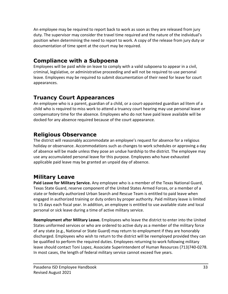An employee may be required to report back to work as soon as they are released from jury duty. The supervisor may consider the travel time required and the nature of the individual's position when determining the need to report to work. A copy of the release from jury duty or documentation of time spent at the court may be required.

## **Compliance with a Subpoena**

Employees will be paid while on leave to comply with a valid subpoena to appear in a civil, criminal, legislative, or administrative proceeding and will not be required to use personal leave. Employees may be required to submit documentation of their need for leave for court appearances.

## **Truancy Court Appearances**

An employee who is a parent, guardian of a child, or a court-appointed guardian ad litem of a child who is required to miss work to attend a truancy court hearing may use personal leave or compensatory time for the absence. Employees who do not have paid leave available will be docked for any absence required because of the court appearance.

# **Religious Observance**

The district will reasonably accommodate an employee's request for absence for a religious holiday or observance. Accommodations such as changes to work schedules or approving a day of absence will be made unless they pose an undue hardship to the district. The employee may use any accumulated personal leave for this purpose. Employees who have exhausted applicable paid leave may be granted an unpaid day of absence.

## **Military Leave**

**Paid Leave for Military Service.** Any employee who is a member of the Texas National Guard, Texas State Guard, reserve component of the United States Armed Forces, or a member of a state or federally authorized Urban Search and Rescue Team is entitled to paid leave when engaged in authorized training or duty orders by proper authority. Paid military leave is limited to 15 days each fiscal year. In addition, an employee is entitled to use available state and local personal or sick leave during a time of active military service.

**Reemployment after Military Leave.** Employees who leave the district to enter into the United States uniformed services or who are ordered to active duty as a member of the military force of any state (e.g., National or State Guard) may return to employment if they are honorably discharged. Employees who wish to return to the district will be reemployed provided they can be qualified to perform the required duties. Employees returning to work following military leave should contact Toni Lopez, Associate Superintendent of Human Resources (713)740-0278. In most cases, the length of federal military service cannot exceed five years.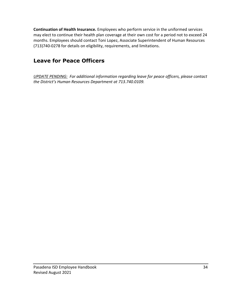**Continuation of Health Insurance.** Employees who perform service in the uniformed services may elect to continue their health plan coverage at their own cost for a period not to exceed 24 months. Employees should contact Toni Lopez, Associate Superintendent of Human Resources (713)740-0278 for details on eligibility, requirements, and limitations.

# **Leave for Peace Officers**

*UPDATE PENDING: For additional information regarding leave for peace officers, please contact the District's Human Resources Department at 713.740.0109.*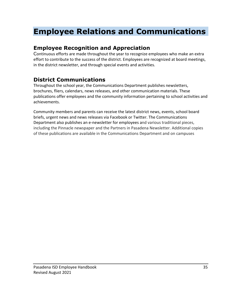# **Employee Relations and Communications**

# **Employee Recognition and Appreciation**

Continuous efforts are made throughout the year to recognize employees who make an extra effort to contribute to the success of the district. Employees are recognized at board meetings, in the district newsletter, and through special events and activities.

# **District Communications**

Throughout the school year, the Communications Department publishes newsletters, brochures, fliers, calendars, news releases, and other communication materials. These publications offer employees and the community information pertaining to school activities and achievements.

<span id="page-35-0"></span>Community members and parents can receive the latest district news, events, school board briefs, urgent news and news releases via Facebook or Twitter. The Communications Department also publishes an e-newsletter for employees and various traditional pieces, including the Pinnacle newspaper and the Partners in Pasadena Newsletter. Additional copies of these publications are available in the Communications Department and on campuses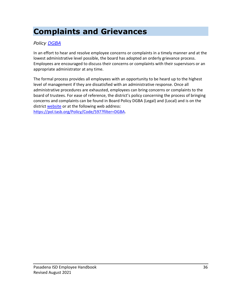# **Complaints and Grievances**

#### *Policy [DGBA](https://pol.tasb.org/Policy/Search/597?filter=dgba)*

In an effort to hear and resolve employee concerns or complaints in a timely manner and at the lowest administrative level possible, the board has adopted an orderly grievance process. Employees are encouraged to discuss their concerns or complaints with their supervisors or an appropriate administrator at any time.

The formal process provides all employees with an opportunity to be heard up to the highest level of management if they are dissatisfied with an administrative response. Once all administrative procedures are exhausted, employees can bring concerns or complaints to the board of trustees. For ease of reference, the district's policy concerning the process of bringing concerns and complaints can be found in Board Policy DGBA (Legal) and (Local) and is on the district [website](https://pol.tasb.org/Policy/Download/597?filename=DGBA(LOCAL).pdf) or at the following web address: [https://pol.tasb.org/Policy/Code/597?filter=DGBA.](https://pol.tasb.org/Policy/Code/597?filter=DGBA)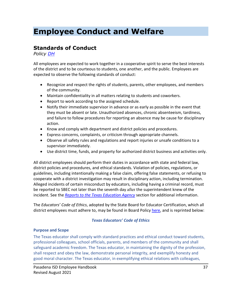# **Employee Conduct and Welfare**

#### **Standards of Conduct**

*Policy [DH](https://pol.tasb.org/Policy/Search/597?filter=dh)*

All employees are expected to work together in a cooperative spirit to serve the best interests of the district and to be courteous to students, one another, and the public. Employees are expected to observe the following standards of conduct:

- Recognize and respect the rights of students, parents, other employees, and members of the community.
- Maintain confidentiality in all matters relating to students and coworkers.
- Report to work according to the assigned schedule.
- Notify their immediate supervisor in advance or as early as possible in the event that they must be absent or late. Unauthorized absences, chronic absenteeism, tardiness, and failure to follow procedures for reporting an absence may be cause for disciplinary action.
- Know and comply with department and district policies and procedures.
- Express concerns, complaints, or criticism through appropriate channels.
- Observe all safety rules and regulations and report injuries or unsafe conditions to a supervisor immediately.
- Use district time, funds, and property for authorized district business and activities only.

All district employees should perform their duties in accordance with state and federal law, district policies and procedures, and ethical standards. Violation of policies, regulations, or guidelines, including intentionally making a false claim, offering false statements, or refusing to cooperate with a district investigation may result in disciplinary action, including termination. Alleged incidents of certain misconduct by educators, including having a criminal record, must be reported to SBEC not later than the seventh day after the superintendent knew of the incident. See the *[Reports to the Texas Education Agency](#page-59-0)* section for additional information.

The *Educators' Code of Ethics*, adopted by the State Board for Educator Certification, which all district employees must adhere to, may be found in Board Polic[y here,](https://pol.tasb.org/Policy/Download/597?filename=DH(XHIBIT).html&title=EMPLOYEE%20STANDARDS%20OF%20CONDUCT&subtitle=) and is reprinted below:

#### *Texas Educators' Code of Ethics*

#### **Purpose and Scope**

The Texas educator shall comply with standard practices and ethical conduct toward students, professional colleagues, school officials, parents, and members of the community and shall safeguard academic freedom. The Texas educator, in maintaining the dignity of the profession, shall respect and obey the law, demonstrate personal integrity, and exemplify honesty and good moral character. The Texas educator, in exemplifying ethical relations with colleagues,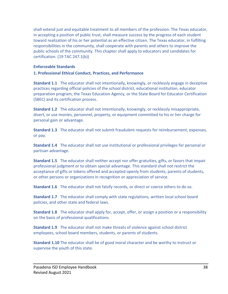shall extend just and equitable treatment to all members of the profession. The Texas educator, in accepting a position of public trust, shall measure success by the progress of each student toward realization of his or her potential as an effective citizen. The Texas educator, in fulfilling responsibilities in the community, shall cooperate with parents and others to improve the public schools of the community. This chapter shall apply to educators and candidates for certification. (19 TAC 247.1(b))

#### **Enforceable Standards**

#### **1. Professional Ethical Conduct, Practices, and Performance**

**Standard 1.1** The educator shall not intentionally, knowingly, or recklessly engage in deceptive practices regarding official policies of the school district, educational institution, educator preparation program, the Texas Education Agency, or the State Board for Educator Certification (SBEC) and its certification process.

**Standard 1.2** The educator shall not intentionally, knowingly, or recklessly misappropriate, divert, or use monies, personnel, property, or equipment committed to his or her charge for personal gain or advantage.

**Standard 1.3** The educator shall not submit fraudulent requests for reimbursement, expenses, or pay.

**Standard 1.4** The educator shall not use institutional or professional privileges for personal or partisan advantage.

**Standard 1.5** The educator shall neither accept nor offer gratuities, gifts, or favors that impair professional judgment or to obtain special advantage. This standard shall not restrict the acceptance of gifts or tokens offered and accepted openly from students, parents of students, or other persons or organizations in recognition or appreciation of service.

**Standard 1.6** The educator shall not falsify records, or direct or coerce others to do so.

**Standard 1.7** The educator shall comply with state regulations, written local school board policies, and other state and federal laws.

**Standard 1.8** The educator shall apply for, accept, offer, or assign a position or a responsibility on the basis of professional qualifications.

**Standard 1.9** The educator shall not make threats of violence against school district employees, school board members, students, or parents of students.

**Standard 1.10** The educator shall be of good moral character and be worthy to instruct or supervise the youth of this state.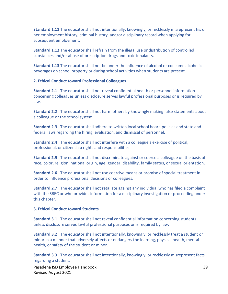**Standard 1.11** The educator shall not intentionally, knowingly, or recklessly misrepresent his or her employment history, criminal history, and/or disciplinary record when applying for subsequent employment.

**Standard 1.12** The educator shall refrain from the illegal use or distribution of controlled substances and/or abuse of prescription drugs and toxic inhalants.

**Standard 1.13** The educator shall not be under the influence of alcohol or consume alcoholic beverages on school property or during school activities when students are present.

#### **2. Ethical Conduct toward Professional Colleagues**

**Standard 2.1** The educator shall not reveal confidential health or personnel information concerning colleagues unless disclosure serves lawful professional purposes or is required by law.

**Standard 2.2** The educator shall not harm others by knowingly making false statements about a colleague or the school system.

**Standard 2.3** The educator shall adhere to written local school board policies and state and federal laws regarding the hiring, evaluation, and dismissal of personnel.

**Standard 2.4** The educator shall not interfere with a colleague's exercise of political, professional, or citizenship rights and responsibilities.

**Standard 2.5** The educator shall not discriminate against or coerce a colleague on the basis of race, color, religion, national origin, age, gender, disability, family status, or sexual orientation.

**Standard 2.6** The educator shall not use coercive means or promise of special treatment in order to influence professional decisions or colleagues.

**Standard 2.7** The educator shall not retaliate against any individual who has filed a complaint with the SBEC or who provides information for a disciplinary investigation or proceeding under this chapter.

#### **3. Ethical Conduct toward Students**

**Standard 3.1** The educator shall not reveal confidential information concerning students unless disclosure serves lawful professional purposes or is required by law.

**Standard 3.2** The educator shall not intentionally, knowingly, or recklessly treat a student or minor in a manner that adversely affects or endangers the learning, physical health, mental health, or safety of the student or minor.

**Standard 3.3** The educator shall not intentionally, knowingly, or recklessly misrepresent facts regarding a student.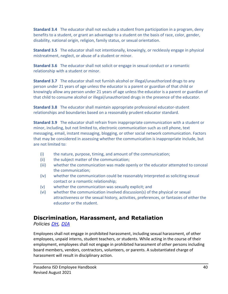**Standard 3.4** The educator shall not exclude a student from participation in a program, deny benefits to a student, or grant an advantage to a student on the basis of race, color, gender, disability, national origin, religion, family status, or sexual orientation.

**Standard 3.5** The educator shall not intentionally, knowingly, or recklessly engage in physical mistreatment, neglect, or abuse of a student or minor.

**Standard 3.6** The educator shall not solicit or engage in sexual conduct or a romantic relationship with a student or minor.

**Standard 3.7** The educator shall not furnish alcohol or illegal/unauthorized drugs to any person under 21 years of age unless the educator is a parent or guardian of that child or knowingly allow any person under 21 years of age unless the educator is a parent or guardian of that child to consume alcohol or illegal/unauthorized drugs in the presence of the educator.

**Standard 3.8** The educator shall maintain appropriate professional educator-student relationships and boundaries based on a reasonably prudent educator standard.

**Standard 3.9** The educator shall refrain from inappropriate communication with a student or minor, including, but not limited to, electronic communication such as cell phone, text messaging, email, instant messaging, blogging, or other social network communication. Factors that may be considered in assessing whether the communication is inappropriate include, but are not limited to:

- (i) the nature, purpose, timing, and amount of the communication;
- (ii) the subject matter of the communication;
- (iii) whether the communication was made openly or the educator attempted to conceal the communication;
- (iv) whether the communication could be reasonably interpreted as soliciting sexual contact or a romantic relationship;
- (v) whether the communication was sexually explicit; and
- (vi) whether the communication involved discussion(s) of the physical or sexual attractiveness or the sexual history, activities, preferences, or fantasies of either the educator or the student.

# **Discrimination, Harassment, and Retaliation**

*Policies [DH,](https://pol.tasb.org/Policy/Search/597?filter=dh) [DIA](https://pol.tasb.org/Policy/Search/597?filter=dia)*

Employees shall not engage in prohibited harassment, including sexual harassment, of other employees, unpaid interns, student teachers, or students. While acting in the course of their employment, employees shall not engage in prohibited harassment of other persons including board members, vendors, contractors, volunteers, or parents. A substantiated charge of harassment will result in disciplinary action.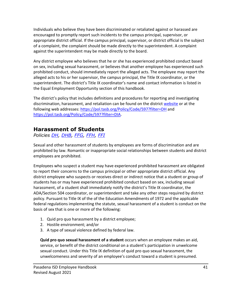Individuals who believe they have been discriminated or retaliated against or harassed are encouraged to promptly report such incidents to the campus principal, supervisor, or appropriate district official. If the campus principal, supervisor, or district official is the subject of a complaint, the complaint should be made directly to the superintendent. A complaint against the superintendent may be made directly to the board.

Any district employee who believes that he or she has experienced prohibited conduct based on sex, including sexual harassment, or believes that another employee has experienced such prohibited conduct, should immediately report the alleged acts. The employee may report the alleged acts to his or her supervisor, the campus principal, the Title IX coordinator, or the superintendent. The district's Title IX coordinator's name and contact information is listed in the Equal Employment Opportunity section of this handbook.

The district's policy that includes definitions and procedures for reporting and investigating discrimination, harassment, and retaliation can be found on the district [website](https://pol.tasb.org/Policy/Download/597?filename=DIA(LOCAL).pdf) or at the following web addresses:<https://pol.tasb.org/Policy/Code/597?filter=DH> and [https://pol.tasb.org/Policy/Code/597?filter=DIA.](https://pol.tasb.org/Policy/Code/597?filter=DIA)

#### **Harassment of Students**

*Policies [DH,](https://pol.tasb.org/Policy/Search/597?filter=dh) [DHB,](https://pol.tasb.org/Policy/Search/597?filter=dhb) [FFG,](https://pol.tasb.org/Policy/Search/597?filter=ffg) [FFH,](https://pol.tasb.org/Policy/Search/597?filter=ffh) [FFI](https://pol.tasb.org/Policy/Search/597?filter=ffi)*

Sexual and other harassment of students by employees are forms of discrimination and are prohibited by law. Romantic or inappropriate social relationships between students and district employees are prohibited.

Employees who suspect a student may have experienced prohibited harassment are obligated to report their concerns to the campus principal or other appropriate district official. Any district employee who suspects or receives direct or indirect notice that a student or group of students has or may have experienced prohibited conduct based on sex, including sexual harassment, of a student shall immediately notify the district's Title IX coordinator, the ADA/Section 504 coordinator, or superintendent and take any other steps required by district policy. Pursuant to Title IX of the of the Education Amendments of 1972 and the applicable federal regulations implementing the statute, sexual harassment of a student is conduct on the basis of sex that is one or more of the following:

- 1. Quid pro quo harassment by a district employee;
- 2. Hostile environment; and/or
- 3. A type of sexual violence defined by federal law.

**Quid pro quo sexual harassment of a student** occurs when an employee makes an aid, service, or benefit of the district conditional on a student's participation in unwelcome sexual conduct. Under this Title IX definition of quid pro quo sexual harassment, the unwelcomeness and severity of an employee's conduct toward a student is presumed.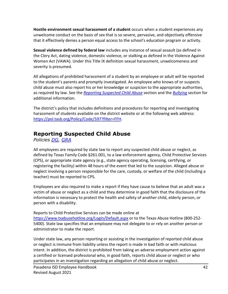**Hostile environment sexual harassment of a student** occurs when a student experiences any unwelcome conduct on the basis of sex that is so severe, pervasive, and objectively offensive that it effectively denies a person equal access to the school's education program or activity.

**Sexual violence defined by federal law** includes any instance of sexual assault (as defined in the Clery Act, dating violence, domestic violence, or stalking as defined in the Violence Against Women Act (VAWA). Under this Title IX definition sexual harassment, unwelcomeness and severity is presumed.

All allegations of prohibited harassment of a student by an employee or adult will be reported to the student's parents and promptly investigated. An employee who knows of or suspects child abuse must also report his or her knowledge or suspicion to the appropriate authorities, as required by law. See the *[Reporting Suspected Child Abuse](#page-42-0)* section and the *[Bullying](#page-63-0)* section for additional information.

The district's policy that includes definitions and procedures for reporting and investigating harassment of students available on the district website or at the following web address: [https://pol.tasb.org/Policy/Code/597?filter=FFH.](https://pol.tasb.org/Policy/Code/597?filter=FFH)

## <span id="page-42-0"></span>**Reporting Suspected Child Abuse**

*Policies [DG,](https://pol.tasb.org/Policy/Search/597?filter=dg) [GRA](https://pol.tasb.org/Policy/Search/597?filter=gra)*

All employees are required by state law to report any suspected child abuse or neglect, as defined by Texas Family Code §261.001, to a law enforcement agency, Child Protective Services (CPS), or appropriate state agency (e.g., state agency operating, licensing, certifying, or registering the facility) within 48 hours of the event that led to the suspicion. Alleged abuse or neglect involving a person responsible for the care, custody, or welfare of the child (including a teacher) must be reported to CPS.

Employees are also required to make a report if they have cause to believe that an adult was a victim of abuse or neglect as a child and they determine in good faith that the disclosure of the information is necessary to protect the health and safety of another child, elderly person, or person with a disability.

Reports to Child Protective Services can be made online at <https://www.txabusehotline.org/Login/Default.aspx> or to the Texas Abuse Hotline (800-252-5400). State law specifies that an employee may not delegate to or rely on another person or administrator to make the report.

Under state law, any person reporting or assisting in the investigation of reported child abuse or neglect is immune from liability unless the report is made in bad faith or with malicious intent. In addition, the district is prohibited from taking an adverse employment action against a certified or licensed professional who, in good faith, reports child abuse or neglect or who participates in an investigation regarding an allegation of child abuse or neglect.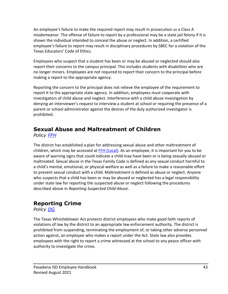An employee's failure to make the required report may result in prosecution as a Class A misdemeanor. The offense of failure to report by a professional may be a state jail felony if it is shown the individual intended to conceal the abuse or neglect. In addition, a certified employee's failure to report may result in disciplinary procedures by SBEC for a violation of the Texas Educators' Code of Ethics.

Employees who suspect that a student has been or may be abused or neglected should also report their concerns to the campus principal. This includes students with disabilities who are no longer minors. Employees are not required to report their concern to the principal before making a report to the appropriate agency.

Reporting the concern to the principal does not relieve the employee of the requirement to report it to the appropriate state agency. In addition, employees must cooperate with investigators of child abuse and neglect. Interference with a child abuse investigation by denying an interviewer's request to interview a student at school or requiring the presence of a parent or school administrator against the desires of the duly authorized investigator is prohibited.

# **Sexual Abuse and Maltreatment of Children**

*Policy [FFH](https://pol.tasb.org/Policy/Code/597?filter=FFH)*

The district has established a plan for addressing sexual abuse and other maltreatment of children, which may be accessed at [FFH \(Local\).](https://pol.tasb.org/Policy/Code/597?filter=FFH) As an employee, it is important for you to be aware of warning signs that could indicate a child may have been or is being sexually abused or maltreated. Sexual abuse in the Texas Family Code is defined as any sexual conduct harmful to a child's mental, emotional, or physical welfare as well as a failure to make a reasonable effort to prevent sexual conduct with a child. Maltreatment is defined as abuse or neglect. Anyone who suspects that a child has been or may be abused or neglected has a legal responsibility under state law for reporting the suspected abuse or neglect following the procedures described above in *Reporting Suspected Child Abuse*.

# **Reporting Crime**

*Policy [DG](https://pol.tasb.org/Policy/Search/597?filter=dg)*

The Texas Whistleblower Act protects district employees who make good faith reports of violations of law by the district to an appropriate law enforcement authority. The district is prohibited from suspending, terminating the employment of, or taking other adverse personnel action against, an employee who makes a report under the Act. State law also provides employees with the right to report a crime witnessed at the school to any peace officer with authority to investigate the crime.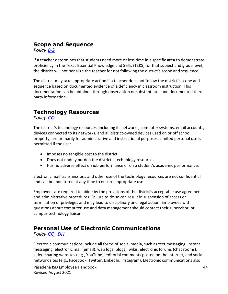#### **Scope and Sequence**

*Policy [DG](https://pol.tasb.org/Policy/Search/597?filter=dg)*

If a teacher determines that students need more or less time in a specific area to demonstrate proficiency in the Texas Essential Knowledge and Skills (TEKS) for that subject and grade level, the district will not penalize the teacher for not following the district's scope and sequence.

The district may take appropriate action if a teacher does not follow the district's scope and sequence based on documented evidence of a deficiency in classroom instruction. This documentation can be obtained through observation or substantiated and documented thirdparty information.

# **Technology Resources**

*Policy [CQ](https://pol.tasb.org/Policy/Search/597?filter=cq)*

The district's technology resources, including its networks, computer systems, email accounts, devices connected to its networks, and all district-owned devices used on or off school property, are primarily for administrative and instructional purposes. Limited personal use is permitted if the use:

- Imposes no tangible cost to the district.
- Does not unduly burden the district's technology resources.
- Has no adverse effect on job performance or on a student's academic performance.

Electronic mail transmissions and other use of the technology resources are not confidential and can be monitored at any time to ensure appropriate use.

Employees are required to abide by the provisions of the district's acceptable use agreement and administrative procedures. Failure to do so can result in suspension of access or termination of privileges and may lead to disciplinary and legal action. Employees with questions about computer use and data management should contact their supervisor, or campus technology liaison.

#### **Personal Use of Electronic Communications**

*Policy [CQ,](https://pol.tasb.org/Policy/Search/597?filter=cq) [DH](https://pol.tasb.org/Policy/Search/597?filter=dh)*

Electronic communications include all forms of social media, such as text messaging, instant messaging, electronic mail (email), web logs (blogs), wikis, electronic forums (chat rooms), video-sharing websites (e.g., YouTube), editorial comments posted on the Internet, and social network sites (e.g., Facebook, Twitter, LinkedIn, Instagram). Electronic communications also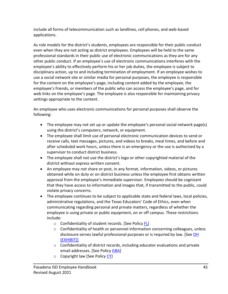include all forms of telecommunication such as landlines, cell phones, and web-based applications.

As role models for the district's students, employees are responsible for their public conduct even when they are not acting as district employees. Employees will be held to the same professional standards in their public use of electronic communications as they are for any other public conduct. If an employee's use of electronic communications interferes with the employee's ability to effectively perform his or her job duties, the employee is subject to disciplinary action, up to and including termination of employment. If an employee wishes to use a social network site or similar media for personal purposes, the employee is responsible for the content on the employee's page, including content added by the employee, the employee's friends, or members of the public who can access the employee's page, and for web links on the employee's page. The employee is also responsible for maintaining privacy settings appropriate to the content.

An employee who uses electronic communications for personal purposes shall observe the following:

- The employee may not set up or update the employee's personal social network page(s) using the district's computers, network, or equipment.
- The employee shall limit use of personal electronic communication devices to send or receive calls, text messages, pictures, and videos to breaks, meal times, and before and after scheduled work hours, unless there is an emergency or the use is authorized by a supervisor to conduct district business.
- The employee shall not use the district's logo or other copyrighted material of the district without express written consent.
- An employee may not share or post, in any format, information, videos, or pictures obtained while on duty or on district business unless the employee first obtains written approval from the employee's immediate supervisor. Employees should be cognizant that they have access to information and images that, if transmitted to the public, could violate privacy concerns.
- The employee continues to be subject to applicable state and federal laws, local policies, administrative regulations, and the Texas Educators' Code of Ethics, even when communicating regarding personal and private matters, regardless of whether the employee is using private or public equipment, on or off campus. These restrictions include:
	- o Confidentiality of student records. [See Policy [FL\]](https://pol.tasb.org/Policy/Search/597?filter=fl)
	- $\circ$  Confidentiality of health or personnel information concerning colleagues, unless disclosure serves lawful professional purposes or is required by law. [See DH [\(EXHIBIT\)\]](https://pol.tasb.org/Policy/Search/597?filter=dh)
	- o Confidentiality of district records, including educator evaluations and private email addresses. [See Policy [GBA\]](https://pol.tasb.org/Policy/Search/597?filter=gba)
	- o Copyright law [See Policy [CY\]](https://pol.tasb.org/Policy/Search/597?filter=cy)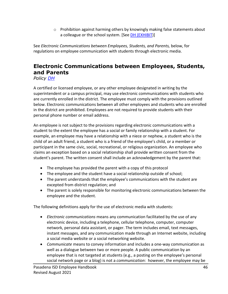$\circ$  Prohibition against harming others by knowingly making false statements about a colleague or the school system. [See [DH \(EXHIBIT\)](https://pol.tasb.org/Policy/Search/597?filter=dh)]

See *Electronic Communications between Employees, Students, and Parents,* below, for regulations on employee communication with students through electronic media.

# **Electronic Communications between Employees, Students, and Parents**

*Policy [DH](https://pol.tasb.org/Policy/Search/597?filter=dh)*

A certified or licensed employee, or any other employee designated in writing by the superintendent or a campus principal, may use electronic communications with students who are currently enrolled in the district. The employee must comply with the provisions outlined below. Electronic communications between all other employees and students who are enrolled in the district are prohibited. Employees are not required to provide students with their personal phone number or email address.

An employee is not subject to the provisions regarding electronic communications with a student to the extent the employee has a social or family relationship with a student. For example, an employee may have a relationship with a niece or nephew, a student who is the child of an adult friend, a student who is a friend of the employee's child, or a member or participant in the same civic, social, recreational, or religious organization. An employee who claims an exception based on a social relationship shall provide written consent from the student's parent. The written consent shall include an acknowledgement by the parent that:

- The employee has provided the parent with a copy of this protocol
- The employee and the student have a social relationship outside of school;
- The parent understands that the employee's communications with the student are excepted from district regulation; and
- The parent is solely responsible for monitoring electronic communications between the employee and the student.

The following definitions apply for the use of electronic media with students:

- *Electronic communications* means any communication facilitated by the use of any electronic device, including a telephone, cellular telephone, computer, computer network, personal data assistant, or pager. The term includes email, text messages, instant messages, and any communication made through an Internet website, including a social media website or a social networking website.
- *Communicate* means to convey information and includes a one-way communication as well as a dialogue between two or more people. A public communication by an employee that is not targeted at students (e.g., a posting on the employee's personal social network page or a blog) is not a *communication*: however, the employee may be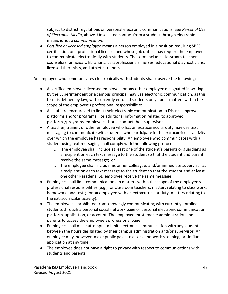subject to district regulations on personal electronic communications. See *Personal Use of Electronic Media*, above. Unsolicited contact from a student through electronic means is not a *communication*.

• *Certified or licensed employee* means a person employed in a position requiring SBEC certification or a professional license, and whose job duties may require the employee to communicate electronically with students. The term includes classroom teachers, counselors, principals, librarians, paraprofessionals, nurses, educational diagnosticians, licensed therapists, and athletic trainers.

An employee who communicates electronically with students shall observe the following:

- A certified employee, licensed employee, or any other employee designated in writing by the Superintendent or a campus principal may use electronic communication, as this term is defined by law, with currently enrolled students only about matters within the scope of the employee's professional responsibilities.
- All staff are encouraged to limit their electronic communication to District-approved platforms and/or programs. For additional information related to approved platforms/programs, employees should contact their supervisor.
- A teacher, trainer, or other employee who has an extracurricular duty may use text messaging to communicate with students who participate in the extracurricular activity over which the employee has responsibility. An employee who communicates with a student using text messaging shall comply with the following protocol:
	- o The employee shall include at least one of the student's parents or guardians as a recipient on each text message to the student so that the student and parent receive the same message; or
	- o The employee shall include his or her colleague, and/or immediate supervisor as a recipient on each text message to the student so that the student and at least one other Pasadena ISD employee receive the same message.
- Employees shall limit communications to matters within the scope of the employee's professional responsibilities (e.g., for classroom teachers, matters relating to class work, homework, and tests; for an employee with an extracurricular duty, matters relating to the extracurricular activity).
- The employee is prohibited from knowingly communicating with currently enrolled students through a personal social network page or personal electronic communication platform, application, or account. The employee must enable administration and parents to access the employee's professional page.
- Employees shall make attempts to limit electronic communication with any student between the hours designated by their campus administration and/or supervisor. An employee may, however, make public posts to a social network site, blog, or similar application at any time.
- The employee does not have a right to privacy with respect to communications with students and parents.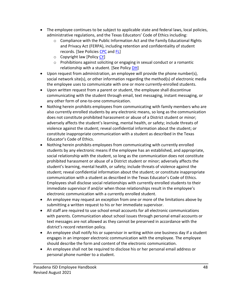- The employee continues to be subject to applicable state and federal laws, local policies, administrative regulations, and the Texas Educators' Code of Ethics including:
	- o Compliance with the Public Information Act and the Family Educational Rights and Privacy Act (FERPA), including retention and confidentiality of student records. [See Policies [CPC](https://pol.tasb.org/Policy/Search/597?filter=cpc) and [FL\]](https://pol.tasb.org/Policy/Search/597?filter=fl)
	- o Copyright law [Policy [CY\]](https://pol.tasb.org/Policy/Search/597?filter=cy)
	- $\circ$  Prohibitions against soliciting or engaging in sexual conduct or a romantic relationship with a student. [See Policy [DH\]](https://pol.tasb.org/Policy/Search/597?filter=dh)
- Upon request from administration, an employee will provide the phone number(s), social network site(s), or other information regarding the method(s) of electronic media the employee uses to communicate with one or more currently-enrolled students.
- Upon written request from a parent or student, the employee shall discontinue communicating with the student through email, text messaging, instant messaging, or any other form of one-to-one communication.
- Nothing herein prohibits employees from communicating with family members who are also currently enrolled students by any electronic means, so long as the communication does not constitute prohibited harassment or abuse of a District student or minor; adversely affects the student's learning, mental health, or safety; include threats of violence against the student; reveal confidential information about the student; or constitute inappropriate communication with a student as described in the Texas Educator's Code of Ethics.
- Nothing herein prohibits employees from communicating with currently enrolled students by any electronic means if the employee has an established, and appropriate, social relationship with the student, so long as the communication does not constitute prohibited harassment or abuse of a District student or minor; adversely affects the student's learning, mental health, or safety; include threats of violence against the student; reveal confidential information about the student; or constitute inappropriate communication with a student as described in the Texas Educator's Code of Ethics. Employees shall disclose social relationships with currently enrolled students to their immediate supervisor if and/or when those relationships result in the employee's electronic communication with a currently enrolled student.
- An employee may request an exception from one or more of the limitations above by submitting a written request to his or her immediate supervisor.
- All staff are required to use school email accounts for all electronic communications with parents. Communication about school issues through personal email accounts or text messages are not allowed as they cannot be preserved in accordance with the district's record retention policy.
- An employee shall notify his or supervisor in writing within one business day if a student engages in an improper electronic communication with the employee. The employee should describe the form and content of the electronic communication.
- An employee shall not be required to disclose his or her personal email address or personal phone number to a student.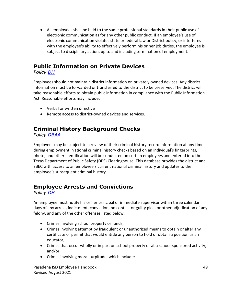• All employees shall be held to the same professional standards in their public use of electronic communication as for any other public conduct. If an employee's use of electronic communication violates state or federal law or District policy, or interferes with the employee's ability to effectively perform his or her job duties, the employee is subject to disciplinary action, up to and including termination of employment.

## **Public Information on Private Devices**

*Policy [DH](https://pol.tasb.org/Policy/Search/597?filter=dh)*

Employees should not maintain district information on privately owned devices. Any district information must be forwarded or transferred to the district to be preserved. The district will take reasonable efforts to obtain public information in compliance with the Public Information Act. Reasonable efforts may include:

- Verbal or written directive
- Remote access to district-owned devices and services.

## **Criminal History Background Checks**

*Policy [DBAA](https://pol.tasb.org/Policy/Search/597?filter=dbaa)*

Employees may be subject to a review of their criminal history record information at any time during employment. National criminal history checks based on an individual's fingerprints, photo, and other identification will be conducted on certain employees and entered into the Texas Department of Public Safety (DPS) Clearinghouse. This database provides the district and SBEC with access to an employee's current national criminal history and updates to the employee's subsequent criminal history.

## **Employee Arrests and Convictions**

*Policy [DH](https://pol.tasb.org/Policy/Search/597?filter=dh)*

An employee must notify his or her principal or immediate supervisor within three calendar days of any arrest, indictment, conviction, no contest or guilty plea, or other adjudication of any felony, and any of the other offenses listed below:

- Crimes involving school property or funds;
- Crimes involving attempt by fraudulent or unauthorized means to obtain or alter any certificate or permit that would entitle any person to hold or obtain a position as an educator;
- Crimes that occur wholly or in part on school property or at a school-sponsored activity; and/or
- Crimes involving moral turpitude, which include: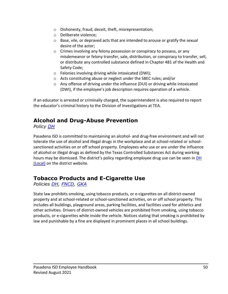- o Dishonesty, fraud, deceit, theft, misrepresentation;
- o Deliberate violence;
- $\circ$  Base, vile, or depraved acts that are intended to arouse or gratify the sexual desire of the actor;
- $\circ$  Crimes involving any felony possession or conspiracy to possess, or any misdemeanor or felony transfer, sale, distribution, or conspiracy to transfer, sell, or distribute any controlled substance defined in Chapter 481 of the Health and Safety Code;
- o Felonies involving driving while intoxicated (DWI);
- o Acts constituting abuse or neglect under the SBEC rules; and/or
- $\circ$  Any offense of driving under the influence (DUI) or driving while intoxicated (DWI), if the employee's job description requires operation of a vehicle.

If an educator is arrested or criminally charged, the superintendent is also required to report the educator's criminal history to the Division of Investigations at TEA.

# **Alcohol and Drug-Abuse Prevention**

*Policy [DH](https://pol.tasb.org/Policy/Search/597?filter=dh)*

Pasadena ISD is committed to maintaining an alcohol- and drug-free environment and will not tolerate the use of alcohol and illegal drugs in the workplace and at school-related or schoolsanctioned activities on or off school property. Employees who use or are under the influence of alcohol or illegal drugs as defined by the Texas Controlled Substances Act during working hours may be dismissed. The district's policy regarding employee drug use can be seen in DH [\(Local\)](https://pol.tasb.org/Policy/Download/597?filename=DH(LOCAL).pdf) on the district website.

## **Tobacco Products and E-Cigarette Use**

*Policies [DH,](file://pasadenaisd.org/staff/SuptShare/General%20Counsel/Employee%20Handbook/Policy%20DH) [FNCD,](https://pol.tasb.org/Policy/Search/597?filter=fncd) [GKA](https://pol.tasb.org/Policy/Search/597?filter=GKA)*

State law prohibits smoking, using tobacco products, or e-cigarettes on all district-owned property and at school-related or school-sanctioned activities, on or off school property. This includes all buildings, playground areas, parking facilities, and facilities used for athletics and other activities. Drivers of district-owned vehicles are prohibited from smoking, using tobacco products, or e-cigarettes while inside the vehicle. Notices stating that smoking is prohibited by law and punishable by a fine are displayed in prominent places in all school buildings.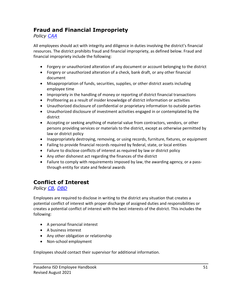## **Fraud and Financial Impropriety**

*Policy [CAA](https://pol.tasb.org/Policy/Search/597?filter=caa)*

All employees should act with integrity and diligence in duties involving the district's financial resources. The district prohibits fraud and financial impropriety, as defined below. Fraud and financial impropriety include the following:

- Forgery or unauthorized alteration of any document or account belonging to the district
- Forgery or unauthorized alteration of a check, bank draft, or any other financial document
- Misappropriation of funds, securities, supplies, or other district assets including employee time
- Impropriety in the handling of money or reporting of district financial transactions
- Profiteering as a result of insider knowledge of district information or activities
- Unauthorized disclosure of confidential or proprietary information to outside parties
- Unauthorized disclosure of investment activities engaged in or contemplated by the district
- Accepting or seeking anything of material value from contractors, vendors, or other persons providing services or materials to the district, except as otherwise permitted by law or district policy
- Inappropriately destroying, removing, or using records, furniture, fixtures, or equipment
- Failing to provide financial records required by federal, state, or local entities
- Failure to disclose conflicts of interest as required by law or district policy
- Any other dishonest act regarding the finances of the district
- Failure to comply with requirements imposed by law, the awarding agency, or a passthrough entity for state and federal awards

# **Conflict of Interest**

*Policy [CB,](https://pol.tasb.org/Policy/Search/597?filter=cb) [DBD](https://pol.tasb.org/Policy/Search/597?filter=dbd)*

Employees are required to disclose in writing to the district any situation that creates a potential conflict of interest with proper discharge of assigned duties and responsibilities or creates a potential conflict of interest with the best interests of the district. This includes the following:

- A personal financial interest
- A business interest
- Any other obligation or relationship
- Non-school employment

Employees should contact their supervisor for additional information.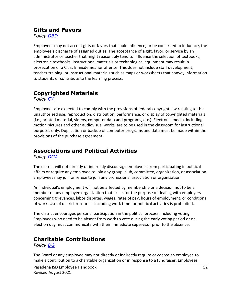#### **Gifts and Favors**

*Policy [DBD](https://pol.tasb.org/Policy/Search/597?filter=dbd)*

Employees may not accept gifts or favors that could influence, or be construed to influence, the employee's discharge of assigned duties. The acceptance of a gift, favor, or service by an administrator or teacher that might reasonably tend to influence the selection of textbooks, electronic textbooks, instructional materials or technological equipment may result in prosecution of a Class B misdemeanor offense. This does not include staff development, teacher training, or instructional materials such as maps or worksheets that convey information to students or contribute to the learning process.

# **Copyrighted Materials**

*Policy [CY](https://pol.tasb.org/Policy/Search/597?filter=cy)*

Employees are expected to comply with the provisions of federal copyright law relating to the unauthorized use, reproduction, distribution, performance, or display of copyrighted materials (i.e., printed material, videos, computer data and programs, etc.). Electronic media, including motion pictures and other audiovisual works, are to be used in the classroom for instructional purposes only. Duplication or backup of computer programs and data must be made within the provisions of the purchase agreement.

## **Associations and Political Activities**

*Policy [DGA](https://pol.tasb.org/Policy/Search/597?filter=dga)*

The district will not directly or indirectly discourage employees from participating in political affairs or require any employee to join any group, club, committee, organization, or association. Employees may join or refuse to join any professional association or organization.

An individual's employment will not be affected by membership or a decision not to be a member of any employee organization that exists for the purpose of dealing with employers concerning grievances, labor disputes, wages, rates of pay, hours of employment, or conditions of work. Use of district resources including work time for political activities is prohibited.

The district encourages personal participation in the political process, including voting. Employees who need to be absent from work to vote during the early voting period or on election day must communicate with their immediate supervisor prior to the absence.

# **Charitable Contributions**

*Policy [DG](https://pol.tasb.org/Policy/Search/597?filter=dg)*

The Board or any employee may not directly or indirectly require or coerce an employee to make a contribution to a charitable organization or in response to a fundraiser. Employees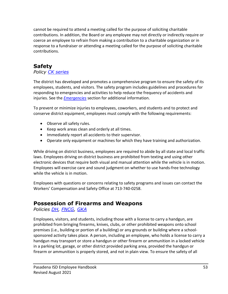cannot be required to attend a meeting called for the purpose of soliciting charitable contributions. In addition, the Board or any employee may not directly or indirectly require or coerce an employee to refrain from making a contribution to a charitable organization or in response to a fundraiser or attending a meeting called for the purpose of soliciting charitable contributions.

## **Safety**

#### *Policy CK [series](https://pol.tasb.org/Policy/Search/597?filter=ck)*

The district has developed and promotes a comprehensive program to ensure the safety of its employees, students, and visitors. The safety program includes guidelines and procedures for responding to emergencies and activities to help reduce the frequency of accidents and injuries. See the *[Emergencies](#page-55-0)* section for additional information.

To prevent or minimize injuries to employees, coworkers, and students and to protect and conserve district equipment, employees must comply with the following requirements:

- Observe all safety rules.
- Keep work areas clean and orderly at all times.
- Immediately report all accidents to their supervisor.
- Operate only equipment or machines for which they have training and authorization.

While driving on district business, employees are required to abide by all state and local traffic laws. Employees driving on district business are prohibited from texting and using other electronic devices that require both visual and manual attention while the vehicle is in motion. Employees will exercise care and sound judgment on whether to use hands-free technology while the vehicle is in motion.

Employees with questions or concerns relating to safety programs and issues can contact the Workers' Compensation and Safety Office at 713-740-0258.

#### **Possession of Firearms and Weapons**

*Policies [DH,](https://pol.tasb.org/Policy/Search/597?filter=dh) [FNCG,](https://pol.tasb.org/Policy/Search/597?filter=fncg) [GKA](https://pol.tasb.org/Policy/Search/597?filter=gka)*

Employees, visitors, and students, including those with a license to carry a handgun, are prohibited from bringing firearms, knives, clubs, or other prohibited weapons onto school premises (i.e., building or portion of a building) or any grounds or building where a schoolsponsored activity takes place. A person, including an employee, who holds a license to carry a handgun may transport or store a handgun or other firearm or ammunition in a locked vehicle in a parking lot, garage, or other district provided parking area, provided the handgun or firearm or ammunition is properly stored, and not in plain view. To ensure the safety of all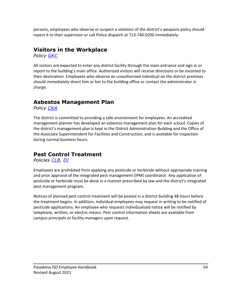persons, employees who observe or suspect a violation of the district's weapons policy should report it to their supervisor or call Police dispatch at 713-740-0200 immediately.

#### **Visitors in the Workplace**

*Policy [GKC](https://pol.tasb.org/Policy/Search/597?filter=gkc)*

All visitors are expected to enter any district facility through the main entrance and sign in or report to the building's main office. Authorized visitors will receive directions or be escorted to their destination. Employees who observe an unauthorized individual on the district premises should immediately direct him or her to the building office or contact the administrator in charge.

#### **Asbestos Management Plan**

*Policy [CKA](https://pol.tasb.org/Policy/Search/597?filter=cka)*

The district is committed to providing a safe environment for employees. An accredited management planner has developed an asbestos management plan for each school. Copies of the district's management plan is kept in the District Administration Building and the Office of the Associate Superintendent for Facilities and Construction, and is available for inspection during normal business hours.

#### **Pest Control Treatment**

*Policies [CLB,](https://pol.tasb.org/Policy/Search/597?filter=clb) [DI](https://pol.tasb.org/Policy/Search/597?filter=di)*

Employees are prohibited from applying any pesticide or herbicide without appropriate training and prior approval of the integrated pest management (IPM) coordinator. Any application of pesticide or herbicide must be done in a manner prescribed by law and the district's integrated pest management program.

Notices of planned pest control treatment will be posted in a district building 48 hours before the treatment begins. In addition, individual employees may request in writing to be notified of pesticide applications. An employee who requests individualized notice will be notified by telephone, written, or electric means. Pest control information sheets are available from campus principals or facility managers upon request.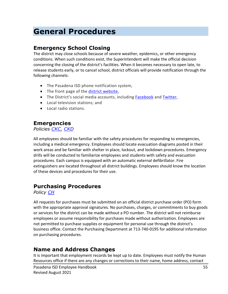# **General Procedures**

#### **Emergency School Closing**

The district may close schools because of severe weather, epidemics, or other emergency conditions. When such conditions exist, the Superintendent will make the official decision concerning the closing of the district's facilities. When it becomes necessary to open late, to release students early, or to cancel school, district officials will provide notification through the following channels:

- The Pasadena ISD phone notification system,
- The front page of the [district website,](http://www.pasadenaisd.org/)
- The District's social media accounts, including [Facebook](https://www.facebook.com/pasadenaisd) and [Twitter,](https://twitter.com/PasadenaISD_TX)
- Local television stations; and
- <span id="page-55-0"></span>• Local radio stations.

#### **Emergencies**

*Policies [CKC,](https://pol.tasb.org/Policy/Search/597?filter=ckc) [CKD](https://pol.tasb.org/Policy/Search/597?filter=ckd)*

All employees should be familiar with the safety procedures for responding to emergencies, including a medical emergency. Employees should locate evacuation diagrams posted in their work areas and be familiar with shelter in place, lockout, and lockdown procedures. Emergency drills will be conducted to familiarize employees and students with safety and evacuation procedures. Each campus is equipped with an automatic external defibrillator. Fire extinguishers are located throughout all district buildings. Employees should know the location of these devices and procedures for their use.

#### **Purchasing Procedures**

*Policy [CH](https://pol.tasb.org/Policy/Search/597?filter=ch)*

All requests for purchases must be submitted on an official district purchase order (PO) form with the appropriate approval signatures. No purchases, charges, or commitments to buy goods or services for the district can be made without a PO number. The district will not reimburse employees or assume responsibility for purchases made without authorization. Employees are not permitted to purchase supplies or equipment for personal use through the district's business office. Contact the Purchasing Department at 713-740-0195 for additional information on purchasing procedures.

#### **Name and Address Changes**

It is important that employment records be kept up to date. Employees must notify the Human Resources office if there are any changes or corrections to their name, home address, contact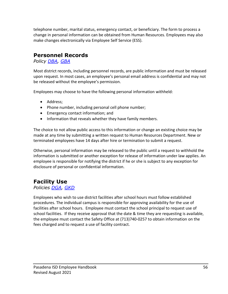telephone number, marital status, emergency contact, or beneficiary. The form to process a change in personal information can be obtained from Human Resources. Employees may also make changes electronically via Employee Self Service (ESS).

#### **Personnel Records**

*Policy [DBA,](https://pol.tasb.org/Policy/Search/597?filter=dba) [GBA](https://pol.tasb.org/Policy/Search/597?filter=gba)*

Most district records, including personnel records, are public information and must be released upon request. In most cases, an employee's personal email address is confidential and may not be released without the employee's permission.

Employees may choose to have the following personal information withheld:

- Address;
- Phone number, including personal cell phone number;
- Emergency contact information; and
- Information that reveals whether they have family members.

The choice to not allow public access to this information or change an existing choice may be made at any time by submitting a written request to Human Resources Department. New or terminated employees have 14 days after hire or termination to submit a request.

Otherwise, personal information may be released to the public until a request to withhold the information is submitted or another exception for release of information under law applies. An employee is responsible for notifying the district if he or she is subject to any exception for disclosure of personal or confidential information.

# **Facility Use**

#### *Policies [DGA,](https://pol.tasb.org/Policy/Search/597?filter=dga) [GKD](https://pol.tasb.org/Policy/Search/597?filter=gkd)*

Employees who wish to use district facilities after school hours must follow established procedures. The individual campus is responsible for approving availability for the use of facilities after school hours. Employee must contact the school principal to request use of school facilities. If they receive approval that the date & time they are requesting is available, the employee must contact the Safety Office at (713)740-0257 to obtain information on the fees charged and to request a use of facility contract.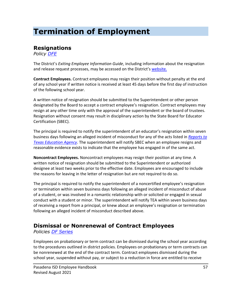# **Termination of Employment**

## **Resignations**

*Policy [DFE](https://pol.tasb.org/Policy/Search/597?filter=dfe)*

The District's *Exiting Employee Information Guide*, including information about the resignation and release request processes, may be accessed on the District's [website.](https://www1.pasadenaisd.org/departments/departments_f-_l/human_resources/exiting_employee_information)

**Contract Employees.** Contract employees may resign their position without penalty at the end of any school year if written notice is received at least 45 days before the first day of instruction of the following school year.

A written notice of resignation should be submitted to the Superintendent or other person designated by the Board to accept a contract employee's resignation. Contract employees may resign at any other time only with the approval of the superintendent or the board of trustees. Resignation without consent may result in disciplinary action by the State Board for Educator Certification (SBEC).

The principal is required to notify the superintendent of an educator's resignation within seven business days following an alleged incident of misconduct for any of the acts listed in *[Reports to](#page-59-0)  [Texas Education Agency](#page-59-0)*. The superintendent will notify SBEC when an employee resigns and reasonable evidence exists to indicate that the employee has engaged in of the same act.

**Noncontract Employees.** Noncontract employees may resign their position at any time. A written notice of resignation should be submitted to the Superintendent or authorized designee at least two weeks prior to the effective date. Employees are encouraged to include the reasons for leaving in the letter of resignation but are not required to do so.

The principal is required to notify the superintendent of a noncertified employee's resignation or termination within seven business days following an alleged incident of misconduct of abuse of a student, or was involved in a romantic relationship with or solicited or engaged in sexual conduct with a student or minor. The superintendent will notify TEA within seven business days of receiving a report from a principal, or knew about an employee's resignation or termination following an alleged incident of misconduct described above.

# **Dismissal or Nonrenewal of Contract Employees**

*Policies [DF Series](https://pol.tasb.org/Policy/Search/597?filter=df)*

Employees on probationary or term contract can be dismissed during the school year according to the procedures outlined in district policies. Employees on probationary or term contracts can be nonrenewed at the end of the contract term. Contract employees dismissed during the school year, suspended without pay, or subject to a reduction in force are entitled to receive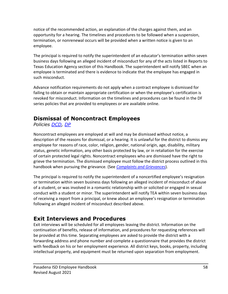notice of the recommended action, an explanation of the charges against them, and an opportunity for a hearing. The timelines and procedures to be followed when a suspension, termination, or nonrenewal occurs will be provided when a written notice is given to an employee.

The principal is required to notify the superintendent of an educator's termination within seven business days following an alleged incident of misconduct for any of the acts listed in Reports to Texas Education Agency section of this Handbook. The superintendent will notify SBEC when an employee is terminated and there is evidence to indicate that the employee has engaged in such misconduct.

Advance notification requirements do not apply when a contract employee is dismissed for failing to obtain or maintain appropriate certification or when the employee's certification is revoked for misconduct. Information on the timelines and procedures can be found in the DF series policies that are provided to employees or are available online.

# **Dismissal of Noncontract Employees**

*Policies [DCD,](https://pol.tasb.org/Policy/Search/597?filter=dcd) [DP](https://pol.tasb.org/Policy/Search/597?filter=dp)*

Noncontract employees are employed at will and may be dismissed without notice, a description of the reasons for dismissal, or a hearing. It is unlawful for the district to dismiss any employee for reasons of race, color, religion, gender, national origin, age, disability, military status, genetic information, any other basis protected by law, or in retaliation for the exercise of certain protected legal rights. Noncontract employees who are dismissed have the right to grieve the termination. The dismissed employee must follow the district process outlined in this handbook when pursuing the grievance. (See *[Complaints and Grievances](#page-35-0)*).

The principal is required to notify the superintendent of a noncertified employee's resignation or termination within seven business days following an alleged incident of misconduct of abuse of a student, or was involved in a romantic relationship with or solicited or engaged in sexual conduct with a student or minor. The superintendent will notify TEA within seven business days of receiving a report from a principal, or knew about an employee's resignation or termination following an alleged incident of misconduct described above.

# **Exit Interviews and Procedures**

Exit interviews will be scheduled for all employees leaving the district. Information on the continuation of benefits, release of information, and procedures for requesting references will be provided at this time. Separating employees are asked to provide the district with a forwarding address and phone number and complete a questionnaire that provides the district with feedback on his or her employment experience. All district keys, books, property, including intellectual property, and equipment must be returned upon separation from employment.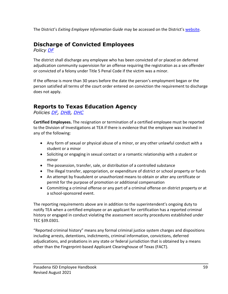The District's *Exiting Employee Information Guide* may be accessed on the District's [website.](https://www1.pasadenaisd.org/departments/departments_f-_l/human_resources/exiting_employee_information)

# **Discharge of Convicted Employees**

*Policy [DF](https://pol.tasb.org/Policy/Search/597?filter=df)*

The district shall discharge any employee who has been convicted of or placed on deferred adjudication community supervision for an offense requiring the registration as a sex offender or convicted of a felony under Title 5 Penal Code if the victim was a minor.

If the offense is more than 30 years before the date the person's employment began or the person satisfied all terms of the court order entered on conviction the requirement to discharge does not apply.

## <span id="page-59-0"></span>**Reports to Texas Education Agency**

*Policies [DF,](https://pol.tasb.org/Policy/Search/597?filter=df) [DHB,](https://pol.tasb.org/Policy/Search/597?filter=dhb) [DHC](https://pol.tasb.org/Policy/Search/597?filter=dhc)*

**Certified Employees.** The resignation or termination of a certified employee must be reported to the Division of Investigations at TEA if there is evidence that the employee was involved in any of the following:

- Any form of sexual or physical abuse of a minor, or any other unlawful conduct with a student or a minor
- Soliciting or engaging in sexual contact or a romantic relationship with a student or minor
- The possession, transfer, sale, or distribution of a controlled substance
- The illegal transfer, appropriation, or expenditure of district or school property or funds
- An attempt by fraudulent or unauthorized means to obtain or alter any certificate or permit for the purpose of promotion or additional compensation
- Committing a criminal offense or any part of a criminal offense on district property or at a school-sponsored event.

The reporting requirements above are in addition to the superintendent's ongoing duty to notify TEA when a certified employee or an applicant for certification has a reported criminal history or engaged in conduct violating the assessment security procedures established under TEC §39.0301.

"Reported criminal history" means any formal criminal justice system charges and dispositions including arrests, detentions, indictments, criminal information, convictions, deferred adjudications, and probations in any state or federal jurisdiction that is obtained by a means other than the Fingerprint-based Applicant Clearinghouse of Texas (FACT).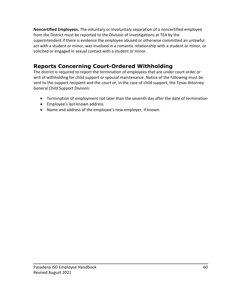**Noncertified Employees.** The voluntary or involuntary separation of a noncertified employee from the District must be reported to the Division of Investigations at TEA by the superintendent if there is evidence the employee abused or otherwise committed an unlawful act with a student or minor, was involved in a romantic relationship with a student or minor, or solicited or engaged in sexual contact with a student or minor.

# **Reports Concerning Court-Ordered Withholding**

The district is required to report the termination of employees that are under court order or writ of withholding for child support or spousal maintenance. Notice of the following must be sent to the support recipient and the court or, in the case of child support, the Texas Attorney General Child Support Division:

- Termination of employment not later than the seventh day after the date of termination
- Employee's last known address
- Name and address of the employee's new employer, if known.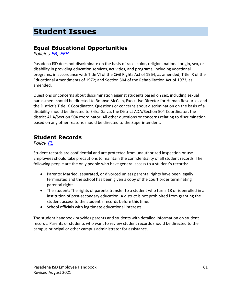# **Student Issues**

# **Equal Educational Opportunities**

*Policies [FB,](https://pol.tasb.org/Policy/Search/597?filter=fb) [FFH](https://pol.tasb.org/Policy/Search/597?filter=ffh)*

Pasadena ISD does not discriminate on the basis of race, color, religion, national origin, sex, or disability in providing education services, activities, and programs, including vocational programs, in accordance with Title VI of the Civil Rights Act of 1964, as amended; Title IX of the Educational Amendments of 1972; and Section 504 of the Rehabilitation Act of 1973, as amended.

Questions or concerns about discrimination against students based on sex, including sexual harassment should be directed to Bobbye McCain, Executive Director for Human Resources and the District's Title IX Coordinator. Questions or concerns about discrimination on the basis of a disability should be directed to Erika Garza, the District ADA/Section 504 Coordinator, the district ADA/Section 504 coordinator. All other questions or concerns relating to discrimination based on any other reasons should be directed to the Superintendent.

#### **Student Records**

*Policy [FL](https://pol.tasb.org/Policy/Search/597?filter=fl)*

Student records are confidential and are protected from unauthorized inspection or use. Employees should take precautions to maintain the confidentiality of all student records. The following people are the only people who have general access to a student's records:

- Parents: Married, separated, or divorced unless parental rights have been legally terminated and the school has been given a copy of the court order terminating parental rights
- The student: The rights of parents transfer to a student who turns 18 or is enrolled in an institution of post-secondary education. A district is not prohibited from granting the student access to the student's records before this time.
- School officials with legitimate educational interests

The student handbook provides parents and students with detailed information on student records. Parents or students who want to review student records should be directed to the campus principal or other campus administrator for assistance.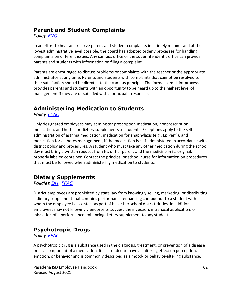### **Parent and Student Complaints**

*Policy [FNG](https://pol.tasb.org/Policy/Search/597?filter=fng)*

In an effort to hear and resolve parent and student complaints in a timely manner and at the lowest administrative level possible, the board has adopted orderly processes for handling complaints on different issues. Any campus office or the superintendent's office can provide parents and students with information on filing a complaint.

Parents are encouraged to discuss problems or complaints with the teacher or the appropriate administrator at any time. Parents and students with complaints that cannot be resolved to their satisfaction should be directed to the campus principal. The formal complaint process provides parents and students with an opportunity to be heard up to the highest level of management if they are dissatisfied with a principal's response.

# **Administering Medication to Students**

*Policy [FFAC](https://pol.tasb.org/Policy/Search/597?filter=ffac)*

Only designated employees may administer prescription medication, nonprescription medication, and herbal or dietary supplements to students. Exceptions apply to the selfadministration of asthma medication, medication for anaphylaxis (e.g., EpiPen<sup>®</sup>), and medication for diabetes management, if the medication is self-administered in accordance with district policy and procedures. A student who must take any other medication during the school day must bring a written request from his or her parent and the medicine in its original, properly labeled container. Contact the principal or school nurse for information on procedures that must be followed when administering medication to students.

# **Dietary Supplements**

*Policies [DH,](https://pol.tasb.org/Policy/Search/597?filter=dh) [FFAC](https://pol.tasb.org/Policy/Search/597?filter=ffac)*

District employees are prohibited by state law from knowingly selling, marketing, or distributing a dietary supplement that contains performance-enhancing compounds to a student with whom the employee has contact as part of his or her school district duties. In addition, employees may not knowingly endorse or suggest the ingestion, intranasal application, or inhalation of a performance-enhancing dietary supplement to any student.

# **Psychotropic Drugs**

*Policy [FFAC](https://pol.tasb.org/Policy/Search/597?filter=ffac)*

A psychotropic drug is a substance used in the diagnosis, treatment, or prevention of a disease or as a component of a medication. It is intended to have an altering effect on perception, emotion, or behavior and is commonly described as a mood- or behavior-altering substance.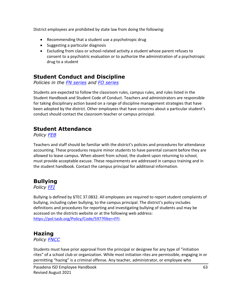District employees are prohibited by state law from doing the following:

- Recommending that a student use a psychotropic drug
- Suggesting a particular diagnosis
- Excluding from class or school-related activity a student whose parent refuses to consent to a psychiatric evaluation or to authorize the administration of a psychotropic drug to a student

## **Student Conduct and Discipline**

*Policies in the [FN series](https://pol.tasb.org/Policy/Search/597?filter=fn) and [FO series](https://pol.tasb.org/Policy/Search/597?filter=fo)*

Students are expected to follow the classroom rules, campus rules, and rules listed in the Student Handbook and Student Code of Conduct. Teachers and administrators are responsible for taking disciplinary action based on a range of discipline management strategies that have been adopted by the district. Other employees that have concerns about a particular student's conduct should contact the classroom teacher or campus principal.

## **Student Attendance**

*Policy [FEB](https://pol.tasb.org/Policy/Search/597?filter=feb)*

Teachers and staff should be familiar with the district's policies and procedures for attendance accounting. These procedures require minor students to have parental consent before they are allowed to leave campus. When absent from school, the student upon returning to school, must provide acceptable excuse. These requirements are addressed in campus training and in the student handbook. Contact the campus principal for additional information.

# <span id="page-63-0"></span>**Bullying**

*Policy [FFI](https://pol.tasb.org/Policy/Search/597?filter=ffi)*

Bullying is defined by §TEC 37.0832. All employees are required to report student complaints of bullying, including cyber bullying, to the campus principal. The district's policy includes definitions and procedures for reporting and investigating bullying of students and may be accessed on the districts website or at the following web address: [https://pol.tasb.org/Policy/Code/597?filter=FFI.](https://pol.tasb.org/Policy/Code/597?filter=FFI)

#### **Hazing**

*Policy [FNCC](https://pol.tasb.org/Policy/Search/597?filter=fncc)*

Students must have prior approval from the principal or designee for any type of "initiation rites" of a school club or organization. While most initiation rites are permissible, engaging in or permitting "hazing" is a criminal offense. Any teacher, administrator, or employee who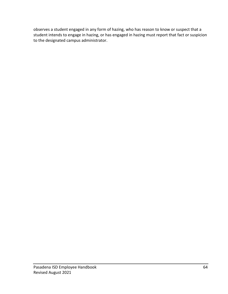observes a student engaged in any form of hazing, who has reason to know or suspect that a student intends to engage in hazing, or has engaged in hazing must report that fact or suspicion to the designated campus administrator.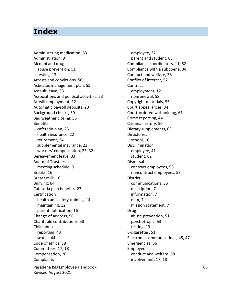# **Index**

Administering medication, 63 Administration, 9 Alcohol and drug abuse prevention, 51 testing, 13 Arrests and convictions, 50 Asbestos management plan, 55 Assault leave, 33 Associations and political activities, 53 At-will employment, 12 Automatic payroll deposits, 20 Background checks, 50 Bad weather closing, 56 Benefits cafeteria plan, 23 health insurance, 22 retirement, 24 supplemental insurance, 23 workers' compensation, 23, 32 Bereavement leave, 33 Board of Trustees meeting schedule, 9 Breaks, 16 Breast milk, 16 Bullying, 64 Cafeteria plan benefits, 23 Certification health and safety training, 14 maintaining, 12 parent notification, 16 Change of address, 56 Charitable contributions, 53 Child abuse reporting, 43 sexual, 44 Code of ethics, 38 Committees, 17, 18 Compensation, 20 Complaints

employee, 37 parent and student, 63 Compliance coordinators, 11, 62 Compliance with a subpoena, 34 Conduct and welfare, 38 Conflict of interest, 52 **Contract** employment, 12 nonrenewal, 58 Copyright materials, 53 Court appearances, 34 Court-ordered withholding, 61 Crime reporting, 44 Criminal history, 50 Dietary supplements, 63 Directories school, 10 Discrimination employee, 41 student, 62 Dismissal contract employees, 58 noncontract employees, 58 **District** communications, 36 description, 7 information, 7 map, 7 mission statement, 7 Drug abuse prevention, 51 psychotropic, 63 testing, 13 E-cigarettes, 51 Electronic communications, 45, 47 Emergencies, 56 Employee conduct and welfare, 38 involvement, 17, 18

Pasadena ISD Employee Handbook 65 Revised August 2021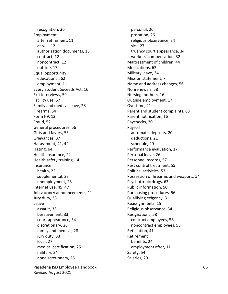recognition, 36 Employment after retirement, 11 at-will, 12 authorization documents, 13 contract, 12 noncontract, 12 outside, 17 Equal opportunity educational, 62 employment, 11 Every Student Suceeds Act, 16 Exit interviews, 59 Facility use, 57 Family and medical leave, 28 Firearms, 54 Form I-9, 13 Fraud, 52 General procedures, 56 Gifts and favors, 53 Grievances, 37 Harassment, 41, 42 Hazing, 64 Health insurance, 22 Health safety training, 14 Insurance health, 22 supplemental, 23 unemployment, 23 Internet use, 45, 47 Job vacancy announcements, 11 Jury duty, 33 Leave assault, 33 bereavement, 33 court appearance, 34 discretionary, 26 family and medical, 28 jury duty, 33 local, 27 medical certification, 25 military, 34 nondiscretionary, 26

personal, 26 proration, 26 religious observance, 34 sick, 27 truancy court appearance, 34 workers' compensation, 32 Maltreatment of children, 44 Medications, 63 Military leave, 34 Mission statement, 7 Name and address changes, 56 Nonrenewals, 58 Nursing mothers, 16 Outside employment, 17 Overtime, 21 Parent and student complaints, 63 Parent notification, 16 Paychecks, 20 Payroll automatic deposits, 20 deductions, 21 schedule, 20 Performance evaluation, 17 Personal leave, 26 Personnel records, 57 Pest control treatment, 55 Political activities, 53 Possession of firearms and weapons, 54 Psychotropic drugs, 63 Public information, 50 Purchasing procedures, 56 Qualifying exigency, 31 Reassignments, 15 Religious observance, 34 Resignations, 58 contract employees, 58 noncontract employees, 58 Retaliation, 41 Retirement benefits, 24 employment after, 11 Safety, 54 Salaries, 20